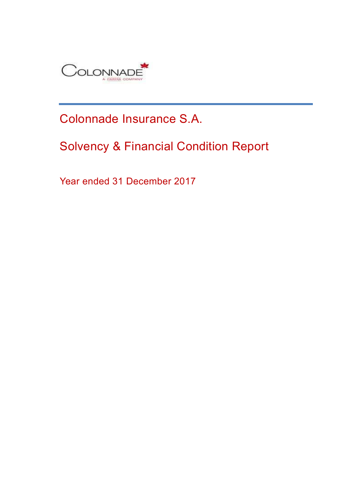

# Colonnade Insurance S.A.

# Solvency & Financial Condition Report

Year ended 31 December 2017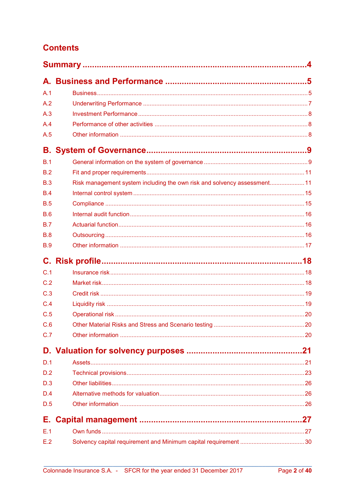## **Contents**

| A.1        |                                                                          |  |
|------------|--------------------------------------------------------------------------|--|
| A.2        |                                                                          |  |
| A.3        |                                                                          |  |
| A.4        |                                                                          |  |
| A.5        |                                                                          |  |
|            |                                                                          |  |
| B.1        |                                                                          |  |
| B.2        |                                                                          |  |
| B.3        | Risk management system including the own risk and solvency assessment 11 |  |
| B.4        |                                                                          |  |
| B.5        |                                                                          |  |
| <b>B.6</b> |                                                                          |  |
| B.7        |                                                                          |  |
| B.8        |                                                                          |  |
| <b>B.9</b> |                                                                          |  |
|            |                                                                          |  |
| C.1        |                                                                          |  |
| C.2        |                                                                          |  |
| C.3        |                                                                          |  |
| C.4        |                                                                          |  |
| C.5        |                                                                          |  |
| C.6        |                                                                          |  |
| C.7        |                                                                          |  |
|            |                                                                          |  |
| D.1        |                                                                          |  |
| D.2        |                                                                          |  |
| D.3        |                                                                          |  |
| D.4        |                                                                          |  |
| D.5        |                                                                          |  |
| Е.         |                                                                          |  |
| E.1        |                                                                          |  |
| E.2        |                                                                          |  |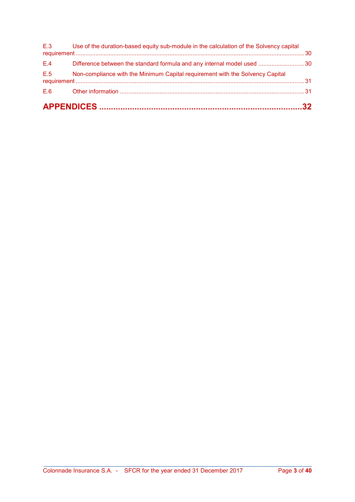|     | E.3 Use of the duration-based equity sub-module in the calculation of the Solvency capital |  |
|-----|--------------------------------------------------------------------------------------------|--|
| E.4 | Difference between the standard formula and any internal model used 30                     |  |
| E.5 | Non-compliance with the Minimum Capital requirement with the Solvency Capital              |  |
| E.6 |                                                                                            |  |
|     |                                                                                            |  |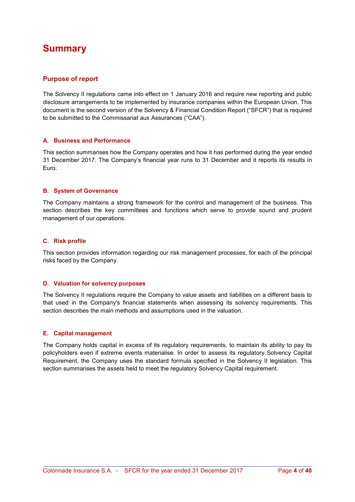# **Summary**

### Purpose of report

The Solvency II regulations came into effect on 1 January 2016 and require new reporting and public disclosure arrangements to be implemented by insurance companies within the European Union. This document is the second version of the Solvency & Financial Condition Report ("SFCR") that is required to be submitted to the Commissariat aux Assurances ("CAA").

### A. Business and Performance

This section summarises how the Company operates and how it has performed during the year ended 31 December 2017. The Company's financial year runs to 31 December and it reports its results in Euro.

#### B. System of Governance

The Company maintains a strong framework for the control and management of the business. This section describes the key committees and functions which serve to provide sound and prudent management of our operations.

#### C. Risk profile

This section provides information regarding our risk management processes, for each of the principal risks faced by the Company.

#### D. Valuation for solvency purposes

The Solvency II regulations require the Company to value assets and liabilities on a different basis to that used in the Company's financial statements when assessing its solvency requirements. This section describes the main methods and assumptions used in the valuation.

### E. Capital management

The Company holds capital in excess of its regulatory requirements, to maintain its ability to pay its policyholders even if extreme events materialise. In order to assess its regulatory Solvency Capital Requirement, the Company uses the standard formula specified in the Solvency II legislation. This section summarises the assets held to meet the regulatory Solvency Capital requirement.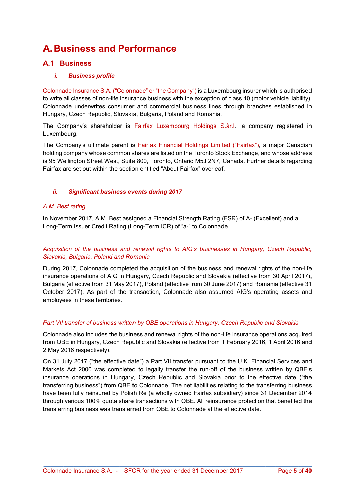# A. Business and Performance

### A.1 Business

### i. Business profile

Colonnade Insurance S.A. ("Colonnade" or "the Company") is a Luxembourg insurer which is authorised to write all classes of non-life insurance business with the exception of class 10 (motor vehicle liability). Colonnade underwrites consumer and commercial business lines through branches established in Hungary, Czech Republic, Slovakia, Bulgaria, Poland and Romania.

The Company's shareholder is Fairfax Luxembourg Holdings S.àr.l., a company registered in Luxembourg.

The Company's ultimate parent is Fairfax Financial Holdings Limited ("Fairfax"), a major Canadian holding company whose common shares are listed on the Toronto Stock Exchange, and whose address is 95 Wellington Street West, Suite 800, Toronto, Ontario M5J 2N7, Canada. Further details regarding Fairfax are set out within the section entitled "About Fairfax" overleaf.

### ii. Significant business events during 2017

### A.M. Best rating

In November 2017, A.M. Best assigned a Financial Strength Rating (FSR) of A- (Excellent) and a Long-Term Issuer Credit Rating (Long-Term ICR) of "a-" to Colonnade.

### Acquisition of the business and renewal rights to AIG's businesses in Hungary, Czech Republic, Slovakia, Bulgaria, Poland and Romania

During 2017, Colonnade completed the acquisition of the business and renewal rights of the non-life insurance operations of AIG in Hungary, Czech Republic and Slovakia (effective from 30 April 2017), Bulgaria (effective from 31 May 2017), Poland (effective from 30 June 2017) and Romania (effective 31 October 2017). As part of the transaction, Colonnade also assumed AIG's operating assets and employees in these territories.

### Part VII transfer of business written by QBE operations in Hungary, Czech Republic and Slovakia

Colonnade also includes the business and renewal rights of the non-life insurance operations acquired from QBE in Hungary, Czech Republic and Slovakia (effective from 1 February 2016, 1 April 2016 and 2 May 2016 respectively).

On 31 July 2017 ("the effective date") a Part VII transfer pursuant to the U.K. Financial Services and Markets Act 2000 was completed to legally transfer the run-off of the business written by QBE's insurance operations in Hungary, Czech Republic and Slovakia prior to the effective date ("the transferring business") from QBE to Colonnade. The net liabilities relating to the transferring business have been fully reinsured by Polish Re (a wholly owned Fairfax subsidiary) since 31 December 2014 through various 100% quota share transactions with QBE. All reinsurance protection that benefited the transferring business was transferred from QBE to Colonnade at the effective date.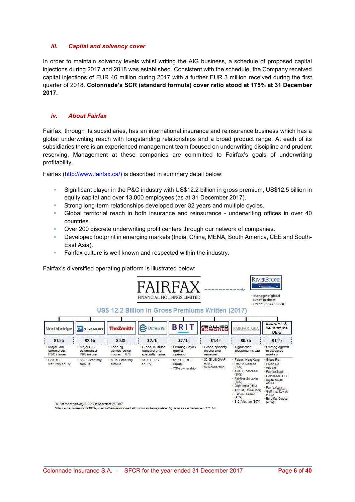#### iii. Capital and solvency cover

In order to maintain solvency levels whilst writing the AIG business, a schedule of proposed capital injections during 2017 and 2018 was established. Consistent with the schedule, the Company received capital injections of EUR 46 million during 2017 with a further EUR 3 million received during the first quarter of 2018. Colonnade's SCR (standard formula) cover ratio stood at 175% at 31 December 2017.

#### iv. About Fairfax

Fairfax, through its subsidiaries, has an international insurance and reinsurance business which has a global underwriting reach with longstanding relationships and a broad product range. At each of its subsidiaries there is an experienced management team focused on underwriting discipline and prudent reserving. Management at these companies are committed to Fairfax's goals of underwriting profitability.

Fairfax (http://www.fairfax.ca/) is described in summary detail below:

- Significant player in the P&C industry with US\$12.2 billion in gross premium, US\$12.5 billion in equity capital and over 13,000 employees (as at 31 December 2017).
- Strong long-term relationships developed over 32 years and multiple cycles.
- Global territorial reach in both insurance and reinsurance underwriting offices in over 40 countries.
- Over 200 discrete underwriting profit centers through our network of companies.
- Developed footprint in emerging markets (India, China, MENA, South America, CEE and South-East Asia).
- Fairfax culture is well known and respected within the industry.

Fairfax's diversified operating platform is illustrated below:

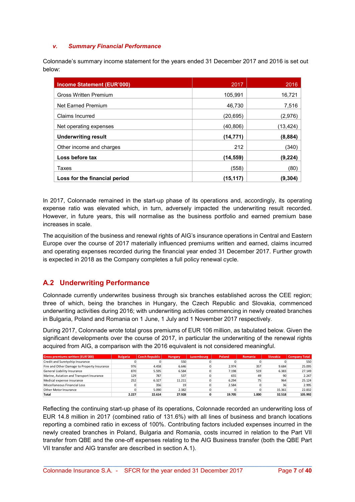### v. Summary Financial Performance

Colonnade's summary income statement for the years ended 31 December 2017 and 2016 is set out below:

| Income Statement (EUR'000)    | 2017      | 2016     |
|-------------------------------|-----------|----------|
| <b>Gross Written Premium</b>  | 105.991   | 16,721   |
| <b>Net Earned Premium</b>     | 46.730    | 7,516    |
| Claims Incurred               | (20,695)  | (2,976)  |
| Net operating expenses        | (40,806)  | (13,424) |
| <b>Underwriting result</b>    | (14, 771) | (8,884)  |
| Other income and charges      | 212       | (340)    |
| Loss before tax               | (14,559)  | (9,224)  |
| Taxes                         | (558)     | (80)     |
| Loss for the financial period | (15,117)  | (9.304)  |

In 2017, Colonnade remained in the start-up phase of its operations and, accordingly, its operating expense ratio was elevated which, in turn, adversely impacted the underwriting result recorded. However, in future years, this will normalise as the business portfolio and earned premium base increases in scale.

The acquisition of the business and renewal rights of AIG's insurance operations in Central and Eastern Europe over the course of 2017 materially influenced premiums written and earned, claims incurred and operating expenses recorded during the financial year ended 31 December 2017. Further growth is expected in 2018 as the Company completes a full policy renewal cycle.

### A.2 Underwriting Performance

Colonnade currently underwrites business through six branches established across the CEE region; three of which, being the branches in Hungary, the Czech Republic and Slovakia, commenced underwriting activities during 2016; with underwriting activities commencing in newly created branches in Bulgaria, Poland and Romania on 1 June, 1 July and 1 November 2017 respectively.

During 2017, Colonnade wrote total gross premiums of EUR 106 million, as tabulated below. Given the significant developments over the course of 2017, in particular the underwriting of the renewal rights acquired from AIG, a comparison with the 2016 equivalent is not considered meaningful.

| <b>Gross premiums written (EUR'000)</b>     | <b>Bulgaria</b> | Czech Republic | Hungary | Luxembourg | Poland | Romania | <b>Slovakia</b> | <b>Company Total</b> |
|---------------------------------------------|-----------------|----------------|---------|------------|--------|---------|-----------------|----------------------|
| Credit and Suretyship Insurance             |                 |                | 550     |            |        |         |                 | 550                  |
| Fire and Other Damage to Property Insurance | 976             | 4.458          | 6.646   |            | 2.974  | 357     | 9.684           | 25.095               |
| General Liability Insurance                 | 870             | 5.595          | 6.584   |            | 7.198  | 519     | 6.383           | 27.149               |
| Marine, Aviation and Transport Insurance    | 129             | 787            | 537     |            | 655    | 49      | 90              | 2.247                |
| Medical expense insurance                   | 252             | 6.327          | 11.211  |            | 6.294  | 75      | 964             | 25.124               |
| Miscellaneous Financial Loss                |                 | 356            | 19      |            | 2.584  |         | 36              | 2.995                |
| Other Motor Insurance                       |                 | 5.090          | 2.382   |            |        |         | 15.361          | 22.832               |
| Total                                       | 2.227           | 22.614         | 27.928  |            | 19.705 | 1.000   | 32.518          | 105.992              |

Reflecting the continuing start-up phase of its operations, Colonnade recorded an underwriting loss of EUR 14.8 million in 2017 (combined ratio of 131.6%) with all lines of business and branch locations reporting a combined ratio in excess of 100%. Contributing factors included expenses incurred in the newly created branches in Poland, Bulgaria and Romania, costs incurred in relation to the Part VII transfer from QBE and the one-off expenses relating to the AIG Business transfer (both the QBE Part VII transfer and AIG transfer are described in section A.1).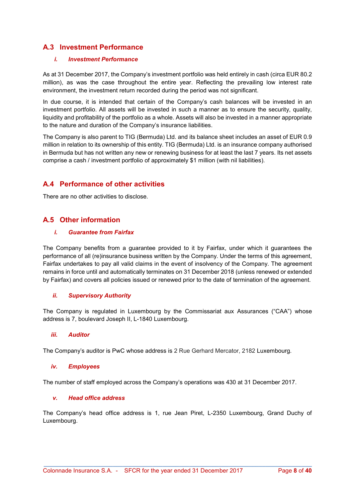### A.3 Investment Performance

### i. Investment Performance

As at 31 December 2017, the Company's investment portfolio was held entirely in cash (circa EUR 80.2 million), as was the case throughout the entire year. Reflecting the prevailing low interest rate environment, the investment return recorded during the period was not significant.

In due course, it is intended that certain of the Company's cash balances will be invested in an investment portfolio. All assets will be invested in such a manner as to ensure the security, quality, liquidity and profitability of the portfolio as a whole. Assets will also be invested in a manner appropriate to the nature and duration of the Company's insurance liabilities.

The Company is also parent to TIG (Bermuda) Ltd. and its balance sheet includes an asset of EUR 0.9 million in relation to its ownership of this entity. TIG (Bermuda) Ltd. is an insurance company authorised in Bermuda but has not written any new or renewing business for at least the last 7 years. Its net assets comprise a cash / investment portfolio of approximately \$1 million (with nil liabilities).

### A.4 Performance of other activities

There are no other activities to disclose.

### A.5 Other information

### i. Guarantee from Fairfax

The Company benefits from a guarantee provided to it by Fairfax, under which it guarantees the performance of all (re)insurance business written by the Company. Under the terms of this agreement, Fairfax undertakes to pay all valid claims in the event of insolvency of the Company. The agreement remains in force until and automatically terminates on 31 December 2018 (unless renewed or extended by Fairfax) and covers all policies issued or renewed prior to the date of termination of the agreement.

### ii. Supervisory Authority

The Company is regulated in Luxembourg by the Commissariat aux Assurances ("CAA") whose address is 7, boulevard Joseph II, L-1840 Luxembourg.

### iii. Auditor

The Company's auditor is PwC whose address is 2 Rue Gerhard Mercator, 2182 Luxembourg.

### iv. Employees

The number of staff employed across the Company's operations was 430 at 31 December 2017.

### v. Head office address

The Company's head office address is 1, rue Jean Piret, L-2350 Luxembourg, Grand Duchy of Luxembourg.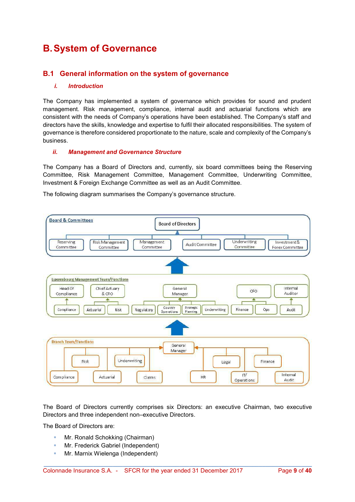# B. System of Governance

### B.1 General information on the system of governance

#### i. Introduction

The Company has implemented a system of governance which provides for sound and prudent management. Risk management, compliance, internal audit and actuarial functions which are consistent with the needs of Company's operations have been established. The Company's staff and directors have the skills, knowledge and expertise to fulfil their allocated responsibilities. The system of governance is therefore considered proportionate to the nature, scale and complexity of the Company's business.

#### ii. Management and Governance Structure

The Company has a Board of Directors and, currently, six board committees being the Reserving Committee, Risk Management Committee, Management Committee, Underwriting Committee, Investment & Foreign Exchange Committee as well as an Audit Committee.

The following diagram summarises the Company's governance structure.



The Board of Directors currently comprises six Directors: an executive Chairman, two executive Directors and three independent non–executive Directors.

\_\_\_\_\_\_\_\_\_\_\_\_\_\_\_\_\_\_\_\_\_\_\_\_\_\_\_\_\_\_\_\_\_\_\_\_\_\_\_\_\_\_\_\_\_\_\_\_\_\_\_\_\_\_\_\_\_\_\_\_\_\_\_\_\_\_\_\_\_\_\_\_\_\_\_\_\_\_\_\_\_

The Board of Directors are:

- Mr. Ronald Schokking (Chairman)
- **Mr. Frederick Gabriel (Independent)**
- **Mr. Marnix Wielenga (Independent)**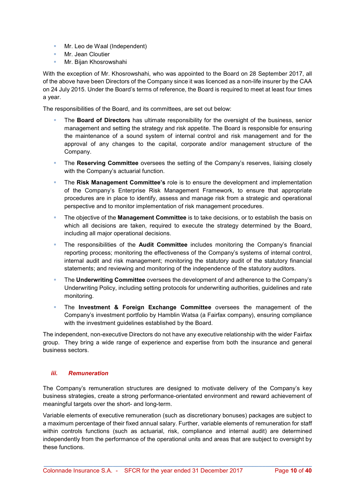- **Mr.** Leo de Waal (Independent)
- **Mr. Jean Cloutier**
- **Mr. Bijan Khosrowshahi**

With the exception of Mr. Khosrowshahi, who was appointed to the Board on 28 September 2017, all of the above have been Directors of the Company since it was licenced as a non-life insurer by the CAA on 24 July 2015. Under the Board's terms of reference, the Board is required to meet at least four times a year.

The responsibilities of the Board, and its committees, are set out below:

- The Board of Directors has ultimate responsibility for the oversight of the business, senior management and setting the strategy and risk appetite. The Board is responsible for ensuring the maintenance of a sound system of internal control and risk management and for the approval of any changes to the capital, corporate and/or management structure of the Company.
- The Reserving Committee oversees the setting of the Company's reserves, liaising closely with the Company's actuarial function.
- The Risk Management Committee's role is to ensure the development and implementation of the Company's Enterprise Risk Management Framework, to ensure that appropriate procedures are in place to identify, assess and manage risk from a strategic and operational perspective and to monitor implementation of risk management procedures.
- The objective of the Management Committee is to take decisions, or to establish the basis on which all decisions are taken, required to execute the strategy determined by the Board, including all major operational decisions.
- The responsibilities of the Audit Committee includes monitoring the Company's financial reporting process; monitoring the effectiveness of the Company's systems of internal control, internal audit and risk management; monitoring the statutory audit of the statutory financial statements; and reviewing and monitoring of the independence of the statutory auditors.
- **The Underwriting Committee** oversees the development of and adherence to the Company's Underwriting Policy, including setting protocols for underwriting authorities, guidelines and rate monitoring.
- **The Investment & Foreign Exchange Committee** oversees the management of the Company's investment portfolio by Hamblin Watsa (a Fairfax company), ensuring compliance with the investment guidelines established by the Board.

The independent, non-executive Directors do not have any executive relationship with the wider Fairfax group. They bring a wide range of experience and expertise from both the insurance and general business sectors.

### iii. Remuneration

The Company's remuneration structures are designed to motivate delivery of the Company's key business strategies, create a strong performance-orientated environment and reward achievement of meaningful targets over the short- and long-term.

Variable elements of executive remuneration (such as discretionary bonuses) packages are subject to a maximum percentage of their fixed annual salary. Further, variable elements of remuneration for staff within controls functions (such as actuarial, risk, compliance and internal audit) are determined independently from the performance of the operational units and areas that are subject to oversight by these functions.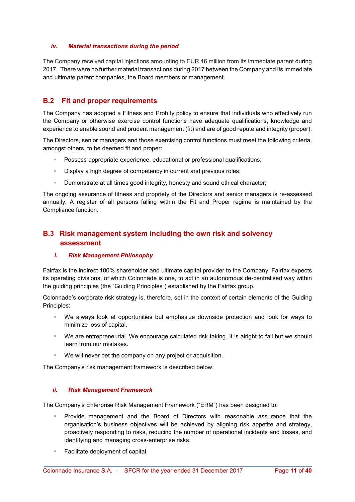### iv. Material transactions during the period

The Company received capital injections amounting to EUR 46 million from its immediate parent during 2017. There were no further material transactions during 2017 between the Company and its immediate and ultimate parent companies, the Board members or management.

### B.2 Fit and proper requirements

The Company has adopted a Fitness and Probity policy to ensure that individuals who effectively run the Company or otherwise exercise control functions have adequate qualifications, knowledge and experience to enable sound and prudent management (fit) and are of good repute and integrity (proper).

The Directors, senior managers and those exercising control functions must meet the following criteria, amongst others, to be deemed fit and proper:

- Possess appropriate experience, educational or professional qualifications;
- **Display a high degree of competency in current and previous roles;**
- Demonstrate at all times good integrity, honesty and sound ethical character;

The ongoing assurance of fitness and propriety of the Directors and senior managers is re-assessed annually. A register of all persons falling within the Fit and Proper regime is maintained by the Compliance function.

### B.3 Risk management system including the own risk and solvency assessment

### i. Risk Management Philosophy

Fairfax is the indirect 100% shareholder and ultimate capital provider to the Company. Fairfax expects its operating divisions, of which Colonnade is one, to act in an autonomous de-centralised way within the guiding principles (the "Guiding Principles") established by the Fairfax group.

Colonnade's corporate risk strategy is, therefore, set in the context of certain elements of the Guiding Principles:

- We always look at opportunities but emphasize downside protection and look for ways to minimize loss of capital.
- We are entrepreneurial. We encourage calculated risk taking. It is alright to fail but we should learn from our mistakes.
- We will never bet the company on any project or acquisition.

The Company's risk management framework is described below.

### ii. Risk Management Framework

The Company's Enterprise Risk Management Framework ("ERM") has been designed to:

- **Provide management and the Board of Directors with reasonable assurance that the** organisation's business objectives will be achieved by aligning risk appetite and strategy, proactively responding to risks, reducing the number of operational incidents and losses, and identifying and managing cross-enterprise risks.
- **Facilitate deployment of capital.**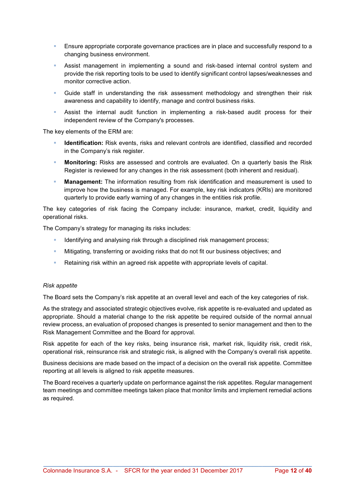- **Ensure appropriate corporate governance practices are in place and successfully respond to a** changing business environment.
- Assist management in implementing a sound and risk-based internal control system and provide the risk reporting tools to be used to identify significant control lapses/weaknesses and monitor corrective action.
- Guide staff in understanding the risk assessment methodology and strengthen their risk awareness and capability to identify, manage and control business risks.
- Assist the internal audit function in implementing a risk-based audit process for their independent review of the Company's processes.

The key elements of the ERM are:

- Identification: Risk events, risks and relevant controls are identified, classified and recorded in the Company's risk register.
- Monitoring: Risks are assessed and controls are evaluated. On a quarterly basis the Risk Register is reviewed for any changes in the risk assessment (both inherent and residual).
- **Management:** The information resulting from risk identification and measurement is used to improve how the business is managed. For example, key risk indicators (KRIs) are monitored quarterly to provide early warning of any changes in the entities risk profile.

The key categories of risk facing the Company include: insurance, market, credit, liquidity and operational risks.

The Company's strategy for managing its risks includes:

- Identifying and analysing risk through a disciplined risk management process;
- Mitigating, transferring or avoiding risks that do not fit our business objectives; and
- Retaining risk within an agreed risk appetite with appropriate levels of capital.

#### Risk appetite

The Board sets the Company's risk appetite at an overall level and each of the key categories of risk.

As the strategy and associated strategic objectives evolve, risk appetite is re-evaluated and updated as appropriate. Should a material change to the risk appetite be required outside of the normal annual review process, an evaluation of proposed changes is presented to senior management and then to the Risk Management Committee and the Board for approval.

Risk appetite for each of the key risks, being insurance risk, market risk, liquidity risk, credit risk, operational risk, reinsurance risk and strategic risk, is aligned with the Company's overall risk appetite.

Business decisions are made based on the impact of a decision on the overall risk appetite. Committee reporting at all levels is aligned to risk appetite measures.

The Board receives a quarterly update on performance against the risk appetites. Regular management team meetings and committee meetings taken place that monitor limits and implement remedial actions as required.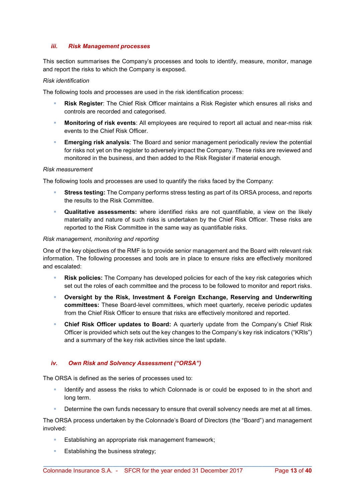#### iii. Risk Management processes

This section summarises the Company's processes and tools to identify, measure, monitor, manage and report the risks to which the Company is exposed.

#### Risk identification

The following tools and processes are used in the risk identification process:

- Risk Register: The Chief Risk Officer maintains a Risk Register which ensures all risks and controls are recorded and categorised.
- **Monitoring of risk events**: All employees are required to report all actual and near-miss risk events to the Chief Risk Officer.
- Emerging risk analysis: The Board and senior management periodically review the potential for risks not yet on the register to adversely impact the Company. These risks are reviewed and monitored in the business, and then added to the Risk Register if material enough.

#### Risk measurement

The following tools and processes are used to quantify the risks faced by the Company:

- Stress testing: The Company performs stress testing as part of its ORSA process, and reports the results to the Risk Committee.
- **Qualitative assessments:** where identified risks are not quantifiable, a view on the likely materiality and nature of such risks is undertaken by the Chief Risk Officer. These risks are reported to the Risk Committee in the same way as quantifiable risks.

#### Risk management, monitoring and reporting

One of the key objectives of the RMF is to provide senior management and the Board with relevant risk information. The following processes and tools are in place to ensure risks are effectively monitored and escalated:

- Risk policies: The Company has developed policies for each of the key risk categories which set out the roles of each committee and the process to be followed to monitor and report risks.
- Oversight by the Risk, Investment & Foreign Exchange, Reserving and Underwriting committees: These Board-level committees, which meet quarterly, receive periodic updates from the Chief Risk Officer to ensure that risks are effectively monitored and reported.
- Chief Risk Officer updates to Board: A quarterly update from the Company's Chief Risk Officer is provided which sets out the key changes to the Company's key risk indicators ("KRIs") and a summary of the key risk activities since the last update.

### iv. Own Risk and Solvency Assessment ("ORSA")

The ORSA is defined as the series of processes used to:

- If Identify and assess the risks to which Colonnade is or could be exposed to in the short and long term.
- Determine the own funds necessary to ensure that overall solvency needs are met at all times.

The ORSA process undertaken by the Colonnade's Board of Directors (the "Board") and management involved:

- Establishing an appropriate risk management framework;
- $\blacksquare$  Establishing the business strategy;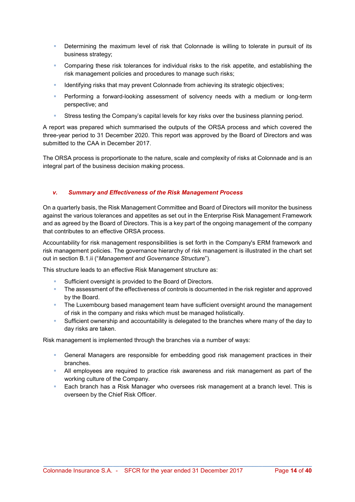- **Determining the maximum level of risk that Colonnade is willing to tolerate in pursuit of its** business strategy;
- Comparing these risk tolerances for individual risks to the risk appetite, and establishing the risk management policies and procedures to manage such risks;
- Identifying risks that may prevent Colonnade from achieving its strategic objectives;
- **Performing a forward-looking assessment of solvency needs with a medium or long-term** perspective; and
- Stress testing the Company's capital levels for key risks over the business planning period.

A report was prepared which summarised the outputs of the ORSA process and which covered the three-year period to 31 December 2020. This report was approved by the Board of Directors and was submitted to the CAA in December 2017.

The ORSA process is proportionate to the nature, scale and complexity of risks at Colonnade and is an integral part of the business decision making process.

### v. Summary and Effectiveness of the Risk Management Process

On a quarterly basis, the Risk Management Committee and Board of Directors will monitor the business against the various tolerances and appetites as set out in the Enterprise Risk Management Framework and as agreed by the Board of Directors. This is a key part of the ongoing management of the company that contributes to an effective ORSA process.

Accountability for risk management responsibilities is set forth in the Company's ERM framework and risk management policies. The governance hierarchy of risk management is illustrated in the chart set out in section B.1.ii ("Management and Governance Structure").

This structure leads to an effective Risk Management structure as:

- Sufficient oversight is provided to the Board of Directors.
- **The assessment of the effectiveness of controls is documented in the risk register and approved** by the Board.
- **The Luxembourg based management team have sufficient oversight around the management** of risk in the company and risks which must be managed holistically.
- Sufficient ownership and accountability is delegated to the branches where many of the day to day risks are taken.

Risk management is implemented through the branches via a number of ways:

- General Managers are responsible for embedding good risk management practices in their branches.
- All employees are required to practice risk awareness and risk management as part of the working culture of the Company.
- Each branch has a Risk Manager who oversees risk management at a branch level. This is overseen by the Chief Risk Officer.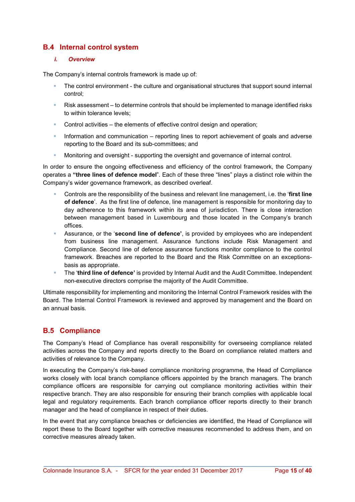### B.4 Internal control system

### i. Overview

The Company's internal controls framework is made up of:

- The control environment the culture and organisational structures that support sound internal control;
- Risk assessment to determine controls that should be implemented to manage identified risks to within tolerance levels;
- Control activities the elements of effective control design and operation;
- Information and communication reporting lines to report achievement of goals and adverse reporting to the Board and its sub-committees; and
- Monitoring and oversight supporting the oversight and governance of internal control.

In order to ensure the ongoing effectiveness and efficiency of the control framework, the Company operates a "three lines of defence model". Each of these three "lines" plays a distinct role within the Company's wider governance framework, as described overleaf.

- Controls are the responsibility of the business and relevant line management, i.e. the 'first line of defence'. As the first line of defence, line management is responsible for monitoring day to day adherence to this framework within its area of jurisdiction. There is close interaction between management based in Luxembourg and those located in the Company's branch offices.
- Assurance, or the 'second line of defence', is provided by employees who are independent from business line management. Assurance functions include Risk Management and Compliance. Second line of defence assurance functions monitor compliance to the control framework. Breaches are reported to the Board and the Risk Committee on an exceptionsbasis as appropriate.
- The 'third line of defence' is provided by Internal Audit and the Audit Committee. Independent non-executive directors comprise the majority of the Audit Committee.

Ultimate responsibility for implementing and monitoring the Internal Control Framework resides with the Board. The Internal Control Framework is reviewed and approved by management and the Board on an annual basis.

### B.5 Compliance

The Company's Head of Compliance has overall responsibility for overseeing compliance related activities across the Company and reports directly to the Board on compliance related matters and activities of relevance to the Company.

In executing the Company's risk-based compliance monitoring programme, the Head of Compliance works closely with local branch compliance officers appointed by the branch managers. The branch compliance officers are responsible for carrying out compliance monitoring activities within their respective branch. They are also responsible for ensuring their branch complies with applicable local legal and regulatory requirements. Each branch compliance officer reports directly to their branch manager and the head of compliance in respect of their duties.

In the event that any compliance breaches or deficiencies are identified, the Head of Compliance will report these to the Board together with corrective measures recommended to address them, and on corrective measures already taken.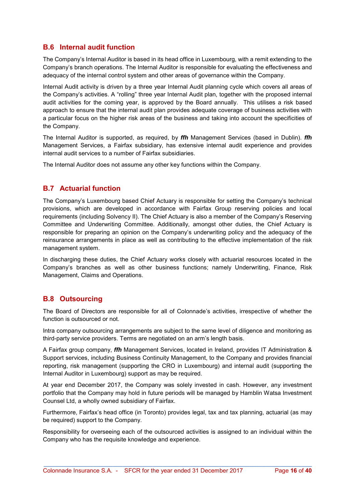### B.6 Internal audit function

The Company's Internal Auditor is based in its head office in Luxembourg, with a remit extending to the Company's branch operations. The Internal Auditor is responsible for evaluating the effectiveness and adequacy of the internal control system and other areas of governance within the Company.

Internal Audit activity is driven by a three year Internal Audit planning cycle which covers all areas of the Company's activities. A "rolling" three year Internal Audit plan, together with the proposed internal audit activities for the coming year, is approved by the Board annually. This utilises a risk based approach to ensure that the internal audit plan provides adequate coverage of business activities with a particular focus on the higher risk areas of the business and taking into account the specificities of the Company.

The Internal Auditor is supported, as required, by *ffh* Management Services (based in Dublin). *ffh* Management Services, a Fairfax subsidiary, has extensive internal audit experience and provides internal audit services to a number of Fairfax subsidiaries.

The Internal Auditor does not assume any other key functions within the Company.

### B.7 Actuarial function

The Company's Luxembourg based Chief Actuary is responsible for setting the Company's technical provisions, which are developed in accordance with Fairfax Group reserving policies and local requirements (including Solvency II). The Chief Actuary is also a member of the Company's Reserving Committee and Underwriting Committee. Additionally, amongst other duties, the Chief Actuary is responsible for preparing an opinion on the Company's underwriting policy and the adequacy of the reinsurance arrangements in place as well as contributing to the effective implementation of the risk management system.

In discharging these duties, the Chief Actuary works closely with actuarial resources located in the Company's branches as well as other business functions; namely Underwriting, Finance, Risk Management, Claims and Operations.

### B.8 Outsourcing

The Board of Directors are responsible for all of Colonnade's activities, irrespective of whether the function is outsourced or not.

Intra company outsourcing arrangements are subject to the same level of diligence and monitoring as third-party service providers. Terms are negotiated on an arm's length basis.

A Fairfax group company, ffh Management Services, located in Ireland, provides IT Administration & Support services, including Business Continuity Management, to the Company and provides financial reporting, risk management (supporting the CRO in Luxembourg) and internal audit (supporting the Internal Auditor in Luxembourg) support as may be required.

At year end December 2017, the Company was solely invested in cash. However, any investment portfolio that the Company may hold in future periods will be managed by Hamblin Watsa Investment Counsel Ltd, a wholly owned subsidiary of Fairfax.

Furthermore, Fairfax's head office (in Toronto) provides legal, tax and tax planning, actuarial (as may be required) support to the Company.

Responsibility for overseeing each of the outsourced activities is assigned to an individual within the Company who has the requisite knowledge and experience.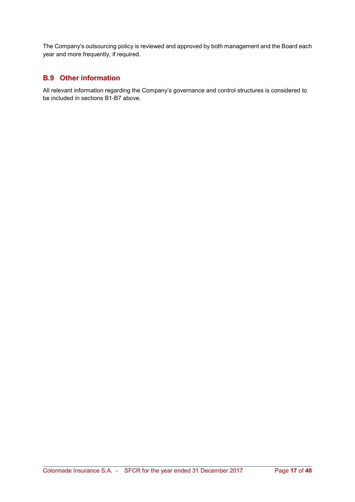The Company's outsourcing policy is reviewed and approved by both management and the Board each year and more frequently, if required.

### B.9 Other information

All relevant information regarding the Company's governance and control structures is considered to be included in sections B1-B7 above.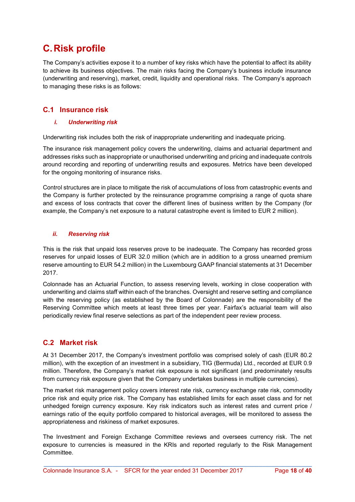# C. Risk profile

The Company's activities expose it to a number of key risks which have the potential to affect its ability to achieve its business objectives. The main risks facing the Company's business include insurance (underwriting and reserving), market, credit, liquidity and operational risks. The Company's approach to managing these risks is as follows:

### C.1 Insurance risk

### i. Underwriting risk

Underwriting risk includes both the risk of inappropriate underwriting and inadequate pricing.

The insurance risk management policy covers the underwriting, claims and actuarial department and addresses risks such as inappropriate or unauthorised underwriting and pricing and inadequate controls around recording and reporting of underwriting results and exposures. Metrics have been developed for the ongoing monitoring of insurance risks.

Control structures are in place to mitigate the risk of accumulations of loss from catastrophic events and the Company is further protected by the reinsurance programme comprising a range of quota share and excess of loss contracts that cover the different lines of business written by the Company (for example, the Company's net exposure to a natural catastrophe event is limited to EUR 2 million).

### ii. Reserving risk

This is the risk that unpaid loss reserves prove to be inadequate. The Company has recorded gross reserves for unpaid losses of EUR 32.0 million (which are in addition to a gross unearned premium reserve amounting to EUR 54.2 million) in the Luxembourg GAAP financial statements at 31 December 2017.

Colonnade has an Actuarial Function, to assess reserving levels, working in close cooperation with underwriting and claims staff within each of the branches. Oversight and reserve setting and compliance with the reserving policy (as established by the Board of Colonnade) are the responsibility of the Reserving Committee which meets at least three times per year. Fairfax's actuarial team will also periodically review final reserve selections as part of the independent peer review process.

### C.2 Market risk

At 31 December 2017, the Company's investment portfolio was comprised solely of cash (EUR 80.2 million), with the exception of an investment in a subsidiary, TIG (Bermuda) Ltd., recorded at EUR 0.9 million. Therefore, the Company's market risk exposure is not significant (and predominately results from currency risk exposure given that the Company undertakes business in multiple currencies).

The market risk management policy covers interest rate risk, currency exchange rate risk, commodity price risk and equity price risk. The Company has established limits for each asset class and for net unhedged foreign currency exposure. Key risk indicators such as interest rates and current price / earnings ratio of the equity portfolio compared to historical averages, will be monitored to assess the appropriateness and riskiness of market exposures.

The Investment and Foreign Exchange Committee reviews and oversees currency risk. The net exposure to currencies is measured in the KRIs and reported regularly to the Risk Management **Committee**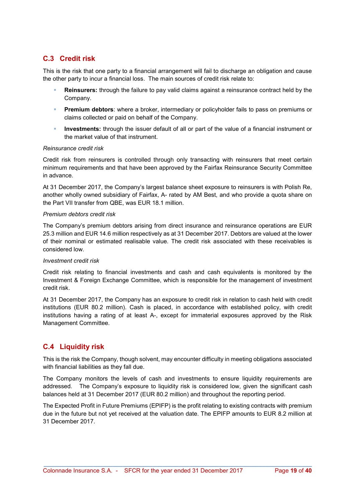### C.3 Credit risk

This is the risk that one party to a financial arrangement will fail to discharge an obligation and cause the other party to incur a financial loss. The main sources of credit risk relate to:

- Reinsurers: through the failure to pay valid claims against a reinsurance contract held by the Company.
- **Premium debtors**: where a broker, intermediary or policyholder fails to pass on premiums or claims collected or paid on behalf of the Company.
- **Investments:** through the issuer default of all or part of the value of a financial instrument or the market value of that instrument.

#### Reinsurance credit risk

Credit risk from reinsurers is controlled through only transacting with reinsurers that meet certain minimum requirements and that have been approved by the Fairfax Reinsurance Security Committee in advance.

At 31 December 2017, the Company's largest balance sheet exposure to reinsurers is with Polish Re, another wholly owned subsidiary of Fairfax, A- rated by AM Best, and who provide a quota share on the Part VII transfer from QBE, was EUR 18.1 million.

#### Premium debtors credit risk

The Company's premium debtors arising from direct insurance and reinsurance operations are EUR 25.3 million and EUR 14.6 million respectively as at 31 December 2017. Debtors are valued at the lower of their nominal or estimated realisable value. The credit risk associated with these receivables is considered low.

#### Investment credit risk

Credit risk relating to financial investments and cash and cash equivalents is monitored by the Investment & Foreign Exchange Committee, which is responsible for the management of investment credit risk.

At 31 December 2017, the Company has an exposure to credit risk in relation to cash held with credit institutions (EUR 80.2 million). Cash is placed, in accordance with established policy, with credit institutions having a rating of at least A-, except for immaterial exposures approved by the Risk Management Committee.

### C.4 Liquidity risk

This is the risk the Company, though solvent, may encounter difficulty in meeting obligations associated with financial liabilities as they fall due.

The Company monitors the levels of cash and investments to ensure liquidity requirements are addressed. The Company's exposure to liquidity risk is considered low, given the significant cash balances held at 31 December 2017 (EUR 80.2 million) and throughout the reporting period.

The Expected Profit in Future Premiums (EPIFP) is the profit relating to existing contracts with premium due in the future but not yet received at the valuation date. The EPIFP amounts to EUR 8.2 million at 31 December 2017.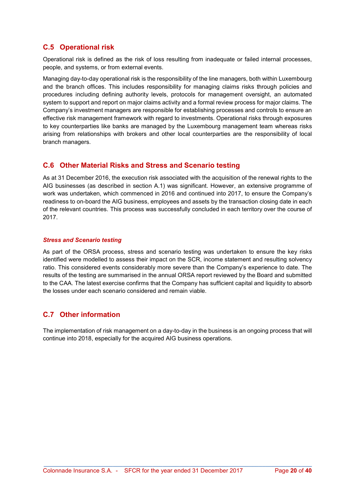### C.5 Operational risk

Operational risk is defined as the risk of loss resulting from inadequate or failed internal processes, people, and systems, or from external events.

Managing day-to-day operational risk is the responsibility of the line managers, both within Luxembourg and the branch offices. This includes responsibility for managing claims risks through policies and procedures including defining authority levels, protocols for management oversight, an automated system to support and report on major claims activity and a formal review process for major claims. The Company's investment managers are responsible for establishing processes and controls to ensure an effective risk management framework with regard to investments. Operational risks through exposures to key counterparties like banks are managed by the Luxembourg management team whereas risks arising from relationships with brokers and other local counterparties are the responsibility of local branch managers.

### C.6 Other Material Risks and Stress and Scenario testing

As at 31 December 2016, the execution risk associated with the acquisition of the renewal rights to the AIG businesses (as described in section A.1) was significant. However, an extensive programme of work was undertaken, which commenced in 2016 and continued into 2017, to ensure the Company's readiness to on-board the AIG business, employees and assets by the transaction closing date in each of the relevant countries. This process was successfully concluded in each territory over the course of 2017.

#### Stress and Scenario testing

As part of the ORSA process, stress and scenario testing was undertaken to ensure the key risks identified were modelled to assess their impact on the SCR, income statement and resulting solvency ratio. This considered events considerably more severe than the Company's experience to date. The results of the testing are summarised in the annual ORSA report reviewed by the Board and submitted to the CAA. The latest exercise confirms that the Company has sufficient capital and liquidity to absorb the losses under each scenario considered and remain viable.

### C.7 Other information

The implementation of risk management on a day-to-day in the business is an ongoing process that will continue into 2018, especially for the acquired AIG business operations.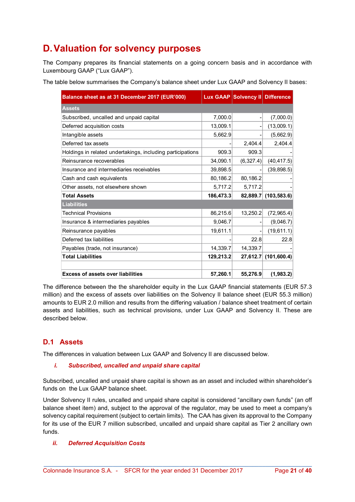# D. Valuation for solvency purposes

The Company prepares its financial statements on a going concern basis and in accordance with Luxembourg GAAP ("Lux GAAP").

The table below summarises the Company's balance sheet under Lux GAAP and Solvency II bases:

| Balance sheet as at 31 December 2017 (EUR'000)             |           | Lux GAAP Solvency II Difference |                      |
|------------------------------------------------------------|-----------|---------------------------------|----------------------|
| <b>Assets</b>                                              |           |                                 |                      |
| Subscribed, uncalled and unpaid capital                    | 7,000.0   |                                 | (7,000.0)            |
| Deferred acquisition costs                                 | 13,009.1  |                                 | (13,009.1)           |
| Intangible assets                                          | 5,662.9   |                                 | (5,662.9)            |
| Deferred tax assets                                        |           | 2,404.4                         | 2,404.4              |
| Holdings in related undertakings, including participations | 909.3     | 909.3                           |                      |
| Reinsurance recoverables                                   | 34,090.1  | (6,327.4)                       | (40, 417.5)          |
| Insurance and intermediaries receivables                   | 39,898.5  |                                 | (39, 898.5)          |
| Cash and cash equivalents                                  | 80,186.2  | 80,186.2                        |                      |
| Other assets, not elsewhere shown                          | 5,717.2   | 5,717.2                         |                      |
| <b>Total Assets</b>                                        | 186,473.3 |                                 | 82,889.7 (103,583.6) |
| <b>Liabilities</b>                                         |           |                                 |                      |
| <b>Technical Provisions</b>                                | 86,215.6  | 13,250.2                        | (72, 965.4)          |
| Insurance & intermediaries payables                        | 9,046.7   |                                 | (9,046.7)            |
| Reinsurance payables                                       | 19,611.1  |                                 | (19,611.1)           |
| Deferred tax liabilities                                   |           | 22.8                            | 22.8                 |
| Payables (trade, not insurance)                            | 14,339.7  | 14,339.7                        |                      |
| <b>Total Liabilities</b>                                   | 129,213.2 |                                 | 27,612.7 (101,600.4) |
| <b>Excess of assets over liabilities</b>                   | 57,260.1  | 55,276.9                        | (1,983.2)            |

The difference between the the shareholder equity in the Lux GAAP financial statements (EUR 57.3 million) and the excess of assets over liabilities on the Solvency II balance sheet (EUR 55.3 million) amounts to EUR 2.0 million and results from the differing valuation / balance sheet treatment of certain assets and liabilities, such as technical provisions, under Lux GAAP and Solvency II. These are described below.

### D.1 Assets

The differences in valuation between Lux GAAP and Solvency II are discussed below.

### i. Subscribed, uncalled and unpaid share capital

Subscribed, uncalled and unpaid share capital is shown as an asset and included within shareholder's funds on the Lux GAAP balance sheet.

Under Solvency II rules, uncalled and unpaid share capital is considered "ancillary own funds" (an off balance sheet item) and, subject to the approval of the regulator, may be used to meet a company's solvency capital requirement (subject to certain limits). The CAA has given its approval to the Company for its use of the EUR 7 million subscribed, uncalled and unpaid share capital as Tier 2 ancillary own funds.

### ii. Deferred Acquisition Costs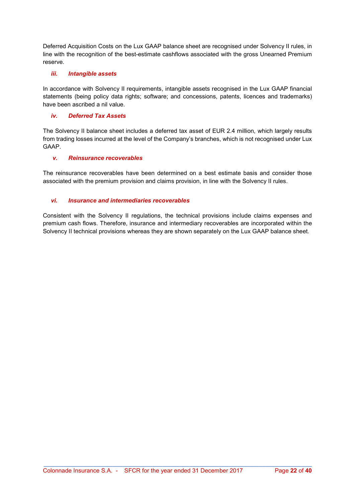Deferred Acquisition Costs on the Lux GAAP balance sheet are recognised under Solvency II rules, in line with the recognition of the best-estimate cashflows associated with the gross Unearned Premium reserve.

### iii. Intangible assets

In accordance with Solvency II requirements, intangible assets recognised in the Lux GAAP financial statements (being policy data rights; software; and concessions, patents, licences and trademarks) have been ascribed a nil value.

#### iv. Deferred Tax Assets

The Solvency II balance sheet includes a deferred tax asset of EUR 2.4 million, which largely results from trading losses incurred at the level of the Company's branches, which is not recognised under Lux GAAP.

#### v. Reinsurance recoverables

The reinsurance recoverables have been determined on a best estimate basis and consider those associated with the premium provision and claims provision, in line with the Solvency II rules.

#### vi. Insurance and intermediaries recoverables

Consistent with the Solvency II regulations, the technical provisions include claims expenses and premium cash flows. Therefore, insurance and intermediary recoverables are incorporated within the Solvency II technical provisions whereas they are shown separately on the Lux GAAP balance sheet.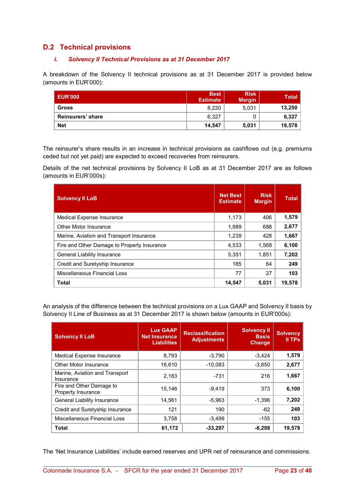### D.2 Technical provisions

### i. Solvency II Technical Provisions as at 31 December 2017

A breakdown of the Solvency II technical provisions as at 31 December 2017 is provided below (amounts in EUR'000):

| <b>EUR'000</b>    | <b>Best</b><br><b>Estimate</b> | <b>Risk</b><br><b>Margin</b> | <b>Total</b> |
|-------------------|--------------------------------|------------------------------|--------------|
| <b>Gross</b>      | 8.220                          | 5,031                        | 13,250       |
| Reinsurers' share | 6.327                          |                              | 6,327        |
| <b>Net</b>        | 14.547                         | 5,031                        | 19,578       |

The reinsurer's share results in an increase in technical provisions as cashflows out (e.g. premiums ceded but not yet paid) are expected to exceed recoveries from reinsurers.

Details of the net technical provisions by Solvency II LoB as at 31 December 2017 are as follows (amounts in EUR'000s):

| <b>Solvency II LoB</b>                      | <b>Net Best</b><br><b>Estimate</b> | <b>Risk</b><br><b>Margin</b> | <b>Total</b> |
|---------------------------------------------|------------------------------------|------------------------------|--------------|
| Medical Expense Insurance                   | 1,173                              | 406                          | 1,579        |
| <b>Other Motor Insurance</b>                | 1.989                              | 688                          | 2,677        |
| Marine, Aviation and Transport Insurance    | 1,239                              | 428                          | 1,667        |
| Fire and Other Damage to Property Insurance | 4,533                              | 1,568                        | 6,100        |
| <b>General Liability Insurance</b>          | 5,351                              | 1,851                        | 7,202        |
| Credit and Suretyship Insurance             | 185                                | 64                           | 249          |
| Miscellaneous Financial Loss                | 77                                 | 27                           | 103          |
| Total                                       | 14,547                             | 5.031                        | 19.578       |

An analysis of the difference between the technical provisions on a Lux GAAP and Solvency II basis by Solvency II Line of Business as at 31 December 2017 is shown below (amounts in EUR'000s):

| <b>Solvency II LoB</b>                         | <b>Lux GAAP</b><br><b>Net Insurance</b><br><b>Liabilities</b> | <b>Reclassification</b><br><b>Adjustments</b> | <b>Solvency II</b><br><b>Basis</b><br><b>Change</b> | <b>Solvency</b><br>II TPs |
|------------------------------------------------|---------------------------------------------------------------|-----------------------------------------------|-----------------------------------------------------|---------------------------|
| <b>Medical Expense Insurance</b>               | 8,793                                                         | $-3,790$                                      | $-3,424$                                            | 1,579                     |
| Other Motor Insurance                          | 16,610                                                        | $-10,083$                                     | $-3,850$                                            | 2,677                     |
| Marine, Aviation and Transport<br>Insurance    | 2.183                                                         | $-731$                                        | 216                                                 | 1,667                     |
| Fire and Other Damage to<br>Property Insurance | 15.146                                                        | $-9.419$                                      | 373                                                 | 6,100                     |
| <b>General Liability Insurance</b>             | 14,561                                                        | $-5,963$                                      | $-1,396$                                            | 7,202                     |
| Credit and Suretyship Insurance                | 121                                                           | 190                                           | $-62$                                               | 249                       |
| Miscellaneous Financial Loss                   | 3,758                                                         | $-3.499$                                      | $-155$                                              | 103                       |
| <b>Total</b>                                   | 61,172                                                        | $-33,297$                                     | $-8,298$                                            | 19,578                    |

The 'Net Insurance Liabilities' include earned reserves and UPR net of reinsurance and commissions.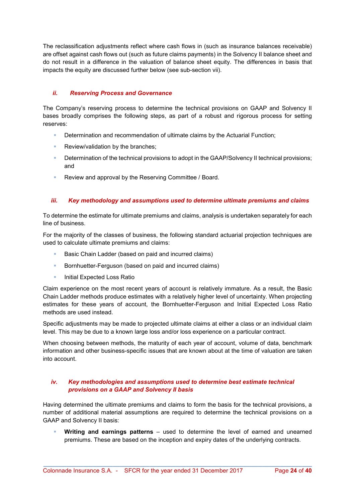The reclassification adjustments reflect where cash flows in (such as insurance balances receivable) are offset against cash flows out (such as future claims payments) in the Solvency II balance sheet and do not result in a difference in the valuation of balance sheet equity. The differences in basis that impacts the equity are discussed further below (see sub-section vii).

### ii. Reserving Process and Governance

The Company's reserving process to determine the technical provisions on GAAP and Solvency II bases broadly comprises the following steps, as part of a robust and rigorous process for setting reserves:

- **Determination and recommendation of ultimate claims by the Actuarial Function:**
- **Review/validation by the branches;**
- **Determination of the technical provisions to adopt in the GAAP/Solvency II technical provisions;** and
- Review and approval by the Reserving Committee / Board.

### iii. Key methodology and assumptions used to determine ultimate premiums and claims

To determine the estimate for ultimate premiums and claims, analysis is undertaken separately for each line of business.

For the majority of the classes of business, the following standard actuarial projection techniques are used to calculate ultimate premiums and claims:

- Basic Chain Ladder (based on paid and incurred claims)
- **Bornhuetter-Ferguson (based on paid and incurred claims)**
- **Initial Expected Loss Ratio**

Claim experience on the most recent years of account is relatively immature. As a result, the Basic Chain Ladder methods produce estimates with a relatively higher level of uncertainty. When projecting estimates for these years of account, the Bornhuetter-Ferguson and Initial Expected Loss Ratio methods are used instead.

Specific adjustments may be made to projected ultimate claims at either a class or an individual claim level. This may be due to a known large loss and/or loss experience on a particular contract.

When choosing between methods, the maturity of each year of account, volume of data, benchmark information and other business-specific issues that are known about at the time of valuation are taken into account.

### iv. Key methodologies and assumptions used to determine best estimate technical provisions on a GAAP and Solvency II basis

Having determined the ultimate premiums and claims to form the basis for the technical provisions, a number of additional material assumptions are required to determine the technical provisions on a GAAP and Solvency II basis:

 Writing and earnings patterns – used to determine the level of earned and unearned premiums. These are based on the inception and expiry dates of the underlying contracts.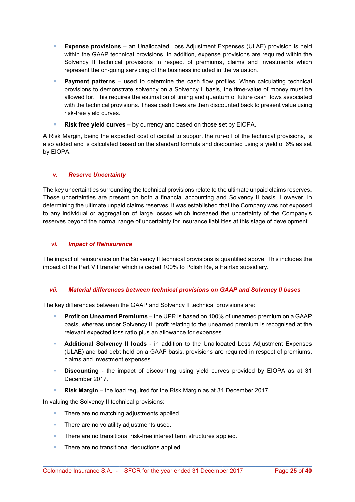- Expense provisions an Unallocated Loss Adjustment Expenses (ULAE) provision is held within the GAAP technical provisions. In addition, expense provisions are required within the Solvency II technical provisions in respect of premiums, claims and investments which represent the on-going servicing of the business included in the valuation.
- **Payment patterns** used to determine the cash flow profiles. When calculating technical provisions to demonstrate solvency on a Solvency II basis, the time-value of money must be allowed for. This requires the estimation of timing and quantum of future cash flows associated with the technical provisions. These cash flows are then discounted back to present value using risk-free yield curves.
- **Risk free yield curves** by currency and based on those set by  $EIOPA$ .

A Risk Margin, being the expected cost of capital to support the run-off of the technical provisions, is also added and is calculated based on the standard formula and discounted using a yield of 6% as set by EIOPA.

### v. Reserve Uncertainty

The key uncertainties surrounding the technical provisions relate to the ultimate unpaid claims reserves. These uncertainties are present on both a financial accounting and Solvency II basis. However, in determining the ultimate unpaid claims reserves, it was established that the Company was not exposed to any individual or aggregation of large losses which increased the uncertainty of the Company's reserves beyond the normal range of uncertainty for insurance liabilities at this stage of development.

### vi. Impact of Reinsurance

The impact of reinsurance on the Solvency II technical provisions is quantified above. This includes the impact of the Part VII transfer which is ceded 100% to Polish Re, a Fairfax subsidiary.

### vii. Material differences between technical provisions on GAAP and Solvency II bases

The key differences between the GAAP and Solvency II technical provisions are:

- Profit on Unearned Premiums the UPR is based on 100% of unearned premium on a GAAP basis, whereas under Solvency II, profit relating to the unearned premium is recognised at the relevant expected loss ratio plus an allowance for expenses.
- **Additional Solvency II loads** in addition to the Unallocated Loss Adjustment Expenses (ULAE) and bad debt held on a GAAP basis, provisions are required in respect of premiums, claims and investment expenses.
- **Discounting** the impact of discounting using yield curves provided by EIOPA as at 31 December 2017.
- Risk Margin the load required for the Risk Margin as at 31 December 2017.

In valuing the Solvency II technical provisions:

- There are no matching adjustments applied.
- **There are no volatility adjustments used.**
- **There are no transitional risk-free interest term structures applied.**
- **There are no transitional deductions applied.**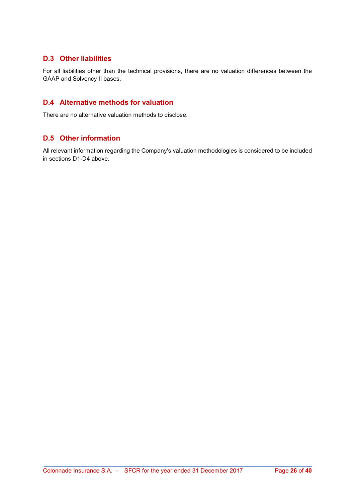### D.3 Other liabilities

For all liabilities other than the technical provisions, there are no valuation differences between the GAAP and Solvency II bases.

### D.4 Alternative methods for valuation

There are no alternative valuation methods to disclose.

### D.5 Other information

All relevant information regarding the Company's valuation methodologies is considered to be included in sections D1-D4 above.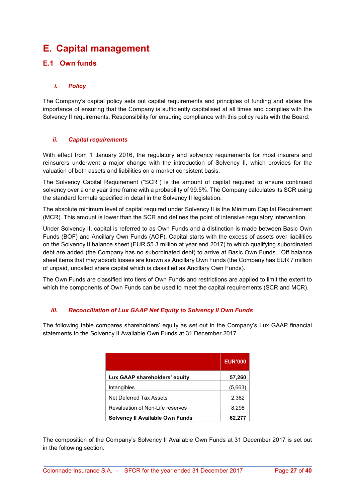# E. Capital management

### E.1 Own funds

### i. Policy

The Company's capital policy sets out capital requirements and principles of funding and states the importance of ensuring that the Company is sufficiently capitalised at all times and complies with the Solvency II requirements. Responsibility for ensuring compliance with this policy rests with the Board.

### ii. Capital requirements

With effect from 1 January 2016, the regulatory and solvency requirements for most insurers and reinsurers underwent a major change with the introduction of Solvency II, which provides for the valuation of both assets and liabilities on a market consistent basis.

The Solvency Capital Requirement ("SCR") is the amount of capital required to ensure continued solvency over a one year time frame with a probability of 99.5%. The Company calculates its SCR using the standard formula specified in detail in the Solvency II legislation.

The absolute minimum level of capital required under Solvency II is the Minimum Capital Requirement (MCR). This amount is lower than the SCR and defines the point of intensive regulatory intervention.

Under Solvency II, capital is referred to as Own Funds and a distinction is made between Basic Own Funds (BOF) and Ancillary Own Funds (AOF). Capital starts with the excess of assets over liabilities on the Solvency II balance sheet (EUR 55.3 million at year end 2017) to which qualifying subordinated debt are added (the Company has no subordinated debt) to arrive at Basic Own Funds. Off balance sheet items that may absorb losses are known as Ancillary Own Funds (the Company has EUR 7 million of unpaid, uncalled share capital which is classified as Ancillary Own Funds).

The Own Funds are classified into tiers of Own Funds and restrictions are applied to limit the extent to which the components of Own Funds can be used to meet the capital requirements (SCR and MCR).

### iii. Reconciliation of Lux GAAP Net Equity to Solvency II Own Funds

The following table compares shareholders' equity as set out in the Company's Lux GAAP financial statements to the Solvency II Available Own Funds at 31 December 2017.

|                                  | <b>EUR'000</b> |
|----------------------------------|----------------|
| Lux GAAP shareholders' equity    | 57,260         |
| Intangibles                      | (5,663)        |
| Net Deferred Tax Assets          | 2,382          |
| Revaluation of Non-Life reserves | 8,298          |
| Solvency II Available Own Funds  | 62.277         |

The composition of the Company's Solvency II Available Own Funds at 31 December 2017 is set out in the following section.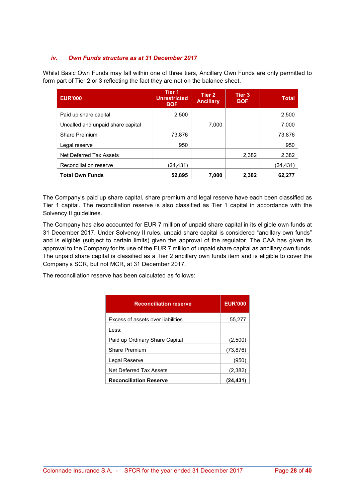### iv. Own Funds structure as at 31 December 2017

Whilst Basic Own Funds may fall within one of three tiers, Ancillary Own Funds are only permitted to form part of Tier 2 or 3 reflecting the fact they are not on the balance sheet.

| <b>EUR'000</b>                    | Tier 1<br><b>Unrestricted</b><br><b>BOF</b> | Tier 2<br><b>Ancillary</b> | Tier 3<br><b>BOF</b> | <b>Total</b> |
|-----------------------------------|---------------------------------------------|----------------------------|----------------------|--------------|
| Paid up share capital             | 2,500                                       |                            |                      | 2,500        |
| Uncalled and unpaid share capital |                                             | 7.000                      |                      | 7,000        |
| <b>Share Premium</b>              | 73,876                                      |                            |                      | 73,876       |
| Legal reserve                     | 950                                         |                            |                      | 950          |
| Net Deferred Tax Assets           |                                             |                            | 2,382                | 2,382        |
| Reconciliation reserve            | (24,431)                                    |                            |                      | (24,431)     |
| <b>Total Own Funds</b>            | 52,895                                      | 7.000                      | 2,382                | 62,277       |

The Company's paid up share capital, share premium and legal reserve have each been classified as Tier 1 capital. The reconciliation reserve is also classified as Tier 1 capital in accordance with the Solvency II guidelines.

The Company has also accounted for EUR 7 million of unpaid share capital in its eligible own funds at 31 December 2017. Under Solvency II rules, unpaid share capital is considered "ancillary own funds" and is eligible (subject to certain limits) given the approval of the regulator. The CAA has given its approval to the Company for its use of the EUR 7 million of unpaid share capital as ancillary own funds. The unpaid share capital is classified as a Tier 2 ancillary own funds item and is eligible to cover the Company's SCR, but not MCR, at 31 December 2017.

The reconciliation reserve has been calculated as follows:

| <b>Reconciliation reserve</b>     | <b>EUR'000</b> |
|-----------------------------------|----------------|
| Excess of assets over liabilities | 55,277         |
| Less:                             |                |
| Paid up Ordinary Share Capital    | (2,500)        |
| <b>Share Premium</b>              | (73, 876)      |
| Legal Reserve                     | (950           |
| <b>Net Deferred Tax Assets</b>    | (2,382)        |
| <b>Reconciliation Reserve</b>     | (24, 431)      |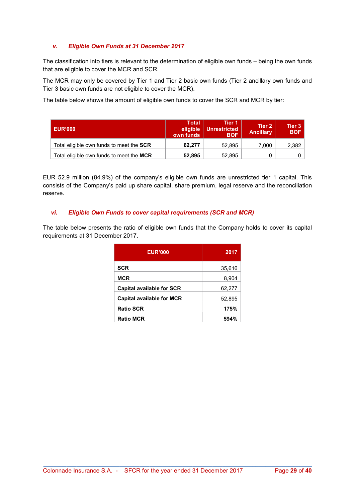### v. Eligible Own Funds at 31 December 2017

The classification into tiers is relevant to the determination of eligible own funds – being the own funds that are eligible to cover the MCR and SCR.

The MCR may only be covered by Tier 1 and Tier 2 basic own funds (Tier 2 ancillary own funds and Tier 3 basic own funds are not eligible to cover the MCR).

The table below shows the amount of eligible own funds to cover the SCR and MCR by tier:

| <b>EUR'000</b>                                  | Total<br>eligible<br>own funds | <b>Tier 1</b><br><b>Unrestricted</b><br><b>BOF</b> | Tier 2<br><b>Ancillary</b> | Tier 3<br><b>BOF</b> |
|-------------------------------------------------|--------------------------------|----------------------------------------------------|----------------------------|----------------------|
| Total eligible own funds to meet the <b>SCR</b> | 62.277                         | 52.895                                             | 7.000                      | 2,382                |
| Total eligible own funds to meet the MCR        | 52,895                         | 52.895                                             |                            |                      |

EUR 52.9 million (84.9%) of the company's eligible own funds are unrestricted tier 1 capital. This consists of the Company's paid up share capital, share premium, legal reserve and the reconciliation reserve.

### vi. Eligible Own Funds to cover capital requirements (SCR and MCR)

The table below presents the ratio of eligible own funds that the Company holds to cover its capital requirements at 31 December 2017.

| <b>EUR'000</b>                   | 2017   |
|----------------------------------|--------|
| <b>SCR</b>                       | 35,616 |
| <b>MCR</b>                       | 8,904  |
| <b>Capital available for SCR</b> | 62,277 |
| <b>Capital available for MCR</b> | 52,895 |
| <b>Ratio SCR</b>                 | 175%   |
| <b>Ratio MCR</b>                 | 594%   |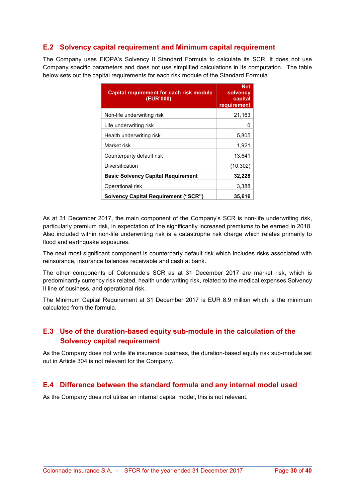### E.2 Solvency capital requirement and Minimum capital requirement

The Company uses EIOPA's Solvency II Standard Formula to calculate its SCR. It does not use Company specific parameters and does not use simplified calculations in its computation. The table below sets out the capital requirements for each risk module of the Standard Formula.

| <b>Capital requirement for each risk module</b><br>(EUR'000) | <b>Net</b><br>solvency<br>capital<br>requirement |
|--------------------------------------------------------------|--------------------------------------------------|
| Non-life underwriting risk                                   | 21,163                                           |
| Life underwriting risk                                       | 0                                                |
| Health underwriting risk                                     | 5,805                                            |
| Market risk                                                  | 1.921                                            |
| Counterparty default risk                                    | 13,641                                           |
| Diversification                                              | (10, 302)                                        |
| <b>Basic Solvency Capital Requirement</b>                    | 32,228                                           |
| Operational risk                                             | 3,388                                            |
| <b>Solvency Capital Requirement ("SCR")</b>                  | 35,616                                           |

As at 31 December 2017, the main component of the Company's SCR is non-life underwriting risk, particularly premium risk, in expectation of the significantly increased premiums to be earned in 2018. Also included within non-life underwriting risk is a catastrophe risk charge which relates primarily to flood and earthquake exposures.

The next most significant component is counterparty default risk which includes risks associated with reinsurance, insurance balances receivable and cash at bank.

The other components of Colonnade's SCR as at 31 December 2017 are market risk, which is predominantly currency risk related, health underwriting risk, related to the medical expenses Solvency II line of business, and operational risk.

The Minimum Capital Requirement at 31 December 2017 is EUR 8.9 million which is the minimum calculated from the formula.

### E.3 Use of the duration-based equity sub-module in the calculation of the Solvency capital requirement

As the Company does not write life insurance business, the duration-based equity risk sub-module set out in Article 304 is not relevant for the Company.

### E.4 Difference between the standard formula and any internal model used

As the Company does not utilise an internal capital model, this is not relevant.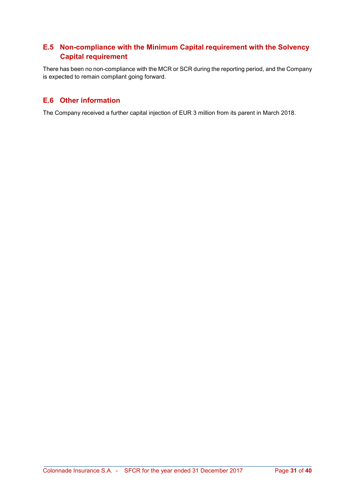### E.5 Non-compliance with the Minimum Capital requirement with the Solvency Capital requirement

There has been no non-compliance with the MCR or SCR during the reporting period, and the Company is expected to remain compliant going forward.

### E.6 Other information

The Company received a further capital injection of EUR 3 million from its parent in March 2018.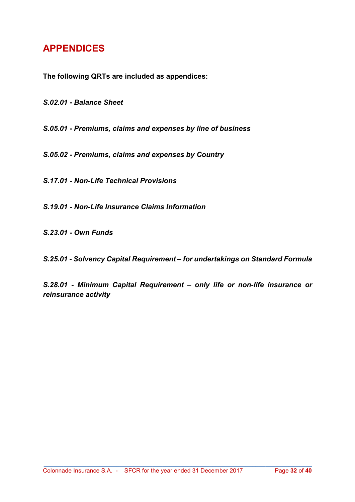# APPENDICES

The following QRTs are included as appendices:

S.02.01 - Balance Sheet

S.05.01 - Premiums, claims and expenses by line of business

S.05.02 - Premiums, claims and expenses by Country

S.17.01 - Non-Life Technical Provisions

S.19.01 - Non-Life Insurance Claims Information

S.23.01 - Own Funds

S.25.01 - Solvency Capital Requirement – for undertakings on Standard Formula

S.28.01 - Minimum Capital Requirement – only life or non-life insurance or reinsurance activity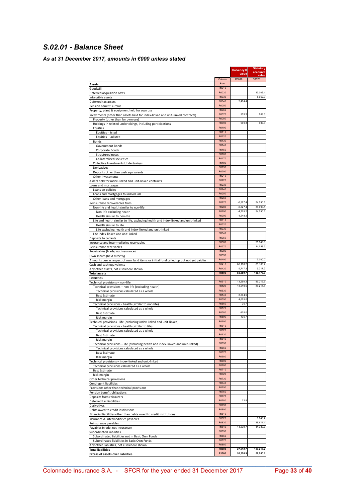### S.02.01 - Balance Sheet

### As at 31 December 2017, amounts in €000 unless stated

|                                                                                                                         |                | Solvency II<br>value | <b>Statutory</b><br>accounts |
|-------------------------------------------------------------------------------------------------------------------------|----------------|----------------------|------------------------------|
|                                                                                                                         | Column         | C0010                | value<br>C0020               |
| Assets                                                                                                                  | Row            |                      |                              |
| Goodwill                                                                                                                | R0010          |                      |                              |
| Deferred acquisition costs                                                                                              | R0020<br>R0030 |                      | 13,009.1<br>5,662.9          |
| Intangible assets<br>Deferred tax assets                                                                                | R0040          | 2,404.4              |                              |
| Pension benefit surplus                                                                                                 | R0050          |                      |                              |
| Property, plant & equipment held for own use                                                                            | R0060          |                      |                              |
| Investments (other than assets held for index-linked and unit-linked contracts)                                         | R0070          | 909.3                | 909.3                        |
| Property (other than for own use)                                                                                       | R0080<br>R0090 | 909.3                | 909.3                        |
| Holdings in related undertakings, including participations                                                              | R0100          |                      |                              |
| Equities<br>Equities - listed                                                                                           | R0110          |                      |                              |
| Equities - unlisted                                                                                                     | R0120          |                      |                              |
| Bonds                                                                                                                   | R0130          |                      |                              |
| Government Bonds                                                                                                        | R0140          |                      |                              |
| Corporate Bonds                                                                                                         | R0150          |                      |                              |
| Structured notes                                                                                                        | R0160<br>R0170 |                      |                              |
| Collateralised securities<br>Collective Investments Undertakings                                                        | R0180          |                      |                              |
| Derivatives                                                                                                             | R0190          |                      |                              |
| Deposits other than cash equivalents                                                                                    | R0200          |                      |                              |
| Other investments                                                                                                       | R0210          |                      |                              |
| Assets held for index-linked and unit-linked contracts                                                                  | R0220          |                      |                              |
| Loans and mortgages                                                                                                     | R0230<br>R0240 |                      |                              |
| Loans on policies<br>Loans and mortgages to individuals                                                                 | R0250          |                      |                              |
| Other loans and mortgages                                                                                               | R0260          |                      |                              |
| Reinsurance recoverables from:                                                                                          | R0270          | $-6,327.4$           | 34,090.1                     |
| Non-life and health similar to non-life                                                                                 | R0280          | $-6,327.4$           | 34,090.1                     |
| Non-life excluding health                                                                                               | R0290          | $-4,779.2$           | 34,090.1                     |
| Health similar to non-life                                                                                              | R0300          | $-1,548.2$           |                              |
| Life and health similar to life, excluding health and index-linked and unit-linked<br>Health similar to life            | R0310<br>R0320 |                      |                              |
| Life excluding health and index-linked and unit-linked                                                                  | R0330          |                      |                              |
| Life index-linked and unit-linked                                                                                       | R0340          |                      |                              |
| Deposits to cedants                                                                                                     | R0350          |                      |                              |
| Insurance and intermediaries receivables                                                                                | R0360          |                      | 25,340.0                     |
| Reinsurance receivables                                                                                                 | R0370          |                      | 14,558.5                     |
| Receivables (trade, not insurance)                                                                                      | R0380<br>R0390 |                      |                              |
| Own shares (held directly)                                                                                              | R0400          |                      | 7,000.0                      |
| Amounts due in respect of own fund items or initial fund called up but not yet paid in<br>Cash and cash equivalents     | R0410          | 80,186.2             | 80,186.2                     |
| Any other assets, not elsewhere shown                                                                                   | R0420          | 5,717.2              | 5,717.2                      |
| Total assets                                                                                                            | <b>R0500</b>   | 82,889.7             | 186,473.3                    |
| Liabilities                                                                                                             |                |                      |                              |
| Technical provisions - non-life                                                                                         | R0510<br>R0520 | 13.250.2<br>13,219.5 | 86,215.6<br>86,215.6         |
| Technical provisions - non-life (excluding health)<br>Technical provisions calculated as a whole                        | R0530          |                      |                              |
| <b>Best Estimate</b>                                                                                                    | R0540          | 8,594.5              |                              |
| Risk margin                                                                                                             | R0550          | 4,625.0              |                              |
| Technical provisions - health (similar to non-life)                                                                     | R0560          | 30.7                 |                              |
| Technical provisions calculated as a whole                                                                              | R0570          |                      |                              |
| <b>Best Estimate</b>                                                                                                    | R0580<br>R0590 | $-375.0$<br>405.7    |                              |
| Risk margin                                                                                                             | R0600          |                      |                              |
| Technical provisions - life (excluding index-linked and unit-linked)<br>Technical provisions - health (similar to life) | R0610          |                      |                              |
| Technical provisions calculated as a whole                                                                              | R0620          |                      |                              |
| <b>Best Estimat</b>                                                                                                     | R0630          |                      |                              |
| Risk margin                                                                                                             | R0640          |                      |                              |
| Technical provisions - life (excluding health and index-linked and unit-linked)                                         | R0650          |                      |                              |
| Technical provisions calculated as a whole                                                                              | R0660<br>R0670 |                      |                              |
| <b>Best Estimate</b><br>Risk margin                                                                                     | R0680          |                      |                              |
| Technical provisions - index-linked and unit-linked                                                                     | R0690          |                      |                              |
| Technical provisions calculated as a whole                                                                              | R0700          |                      |                              |
| <b>Best Estimate</b>                                                                                                    | R0710          |                      |                              |
| Risk margin                                                                                                             | R0720          |                      |                              |
| Other technical provisions                                                                                              | R0730<br>R0740 |                      |                              |
| Contingent liabilities<br>Provisions other than technical provisions                                                    | R0750          |                      |                              |
| Pension benefit obligations                                                                                             | R0760          |                      |                              |
| Deposits from reinsurers                                                                                                | R0770          |                      |                              |
| Deferred tax liabilities                                                                                                | R0780          | 22.8                 |                              |
| Derivatives                                                                                                             | R0790          |                      |                              |
| Debts owed to credit institutions                                                                                       | R0800<br>R0810 |                      |                              |
| Financial liabilities other than debts owed to credit institutions<br>Insurance & intermediaries payables               | R0820          |                      | 9,046.7                      |
| Reinsurance payables                                                                                                    | R0830          |                      | 19,611.1                     |
| Payables (trade, not insurance)                                                                                         | R0840          | 14,339.7             | 14,339.7                     |
| Subordinated liabilities                                                                                                | R0850          |                      |                              |
| Subordinated liabilities not in Basic Own Funds                                                                         | R0860          |                      |                              |
| Subordinated liabilities in Basic Own Funds                                                                             | R0870          |                      |                              |
| Any other liabilities, not elsewhere shown                                                                              | R0880<br>R0900 | 27,612.7             | 129,213.2                    |
| <b>Total liabilities</b><br><b>Excess of assets over liabilities</b>                                                    | R1000          | 55,276.9             | 57,260.1                     |
|                                                                                                                         |                |                      |                              |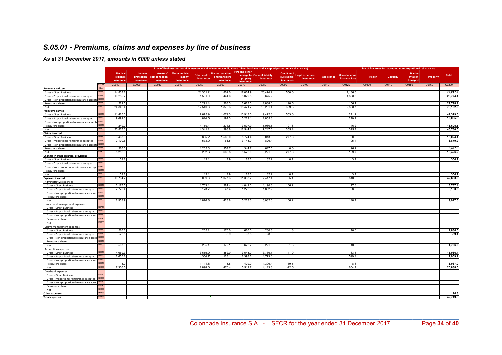### S.05.01 - Premiums, claims and expenses by line of business

### As at 31 December 2017, amounts in €000 unless stated

|                                                                 | Line of Business for: non-life insurance and reinsurance obligations (direct business and accepted proportional reinsurance) |                          |              |                      |             |                  | Line of Business for: accepted non-proportional reinsurance |                             |                   |                       |                   |                      |               |          |           |          |          |
|-----------------------------------------------------------------|------------------------------------------------------------------------------------------------------------------------------|--------------------------|--------------|----------------------|-------------|------------------|-------------------------------------------------------------|-----------------------------|-------------------|-----------------------|-------------------|----------------------|---------------|----------|-----------|----------|----------|
|                                                                 |                                                                                                                              | <b>Medical</b><br>Income | Workers'     | <b>Motor vehicle</b> |             | Marine, aviation | Fire and other                                              |                             | <b>Credit and</b> |                       |                   |                      |               |          | Marine.   |          |          |
|                                                                 |                                                                                                                              | protection<br>expense    | compensation | liability            | Other motor | and transport    |                                                             | damage to General liability | suretyship        | <b>Legal expenses</b> | <b>Assistance</b> | <b>Miscellaneous</b> | <b>Health</b> | Casualty | aviation, | Property | Total    |
|                                                                 | insurance                                                                                                                    | insurance                | insurance    | insurance            | insurance   | insurance        | property                                                    | insurance                   | insurance         | insurance             |                   | financial loss       |               |          | transport |          |          |
| Column                                                          | C0010                                                                                                                        | C0020                    | C0030        | C0040                | C0050       | C0060            | insurance<br>C0070                                          | C0080                       | C0090             | C0100                 | C0110             | C0120                | C0130         | C0140    | C0150     | C0160    | C0200    |
| Roy<br><b>Premiums written</b>                                  |                                                                                                                              |                          |              |                      |             |                  |                                                             |                             |                   |                       |                   |                      |               |          |           |          |          |
| R0110<br>Gross - Direct Business                                | 14,838.8                                                                                                                     |                          |              |                      | 21,301.     | 1,802.0          | 17,064.                                                     | 20,474.2                    | 550.              |                       |                   | 1,186.6              |               |          |           |          | 77,217.7 |
| R0120<br>Gross - Proportional reinsurance accepted              | 10,285.2                                                                                                                     |                          |              |                      | 1,531.0     | 444.6            | 8,029.8                                                     | 6,675.2                     |                   |                       |                   | 1,808.3              |               |          |           |          | 28,774.1 |
| Gross - Non-proportional reinsurance accepte<br>R0130           |                                                                                                                              |                          |              |                      |             |                  |                                                             |                             |                   |                       |                   |                      |               |          |           |          |          |
| Reinsurers' share                                               | R0140                                                                                                                        | 281.5                    |              |                      | 10,291.     | 368.             | 6,623.0                                                     | 11,888.                     | 190.              |                       |                   | 156.1                |               |          |           |          | 29,798.9 |
| R020<br>Net                                                     | 24.842.4                                                                                                                     |                          |              |                      | 12.540.     | 1.878.3          | 18,471.7                                                    | 15,261.4                    | 359.              |                       |                   | 2,838.7              |               |          |           |          | 76.192.9 |
| <b>Premiums earned</b>                                          |                                                                                                                              |                          |              |                      |             |                  |                                                             |                             |                   |                       |                   |                      |               |          |           |          |          |
| R0210<br>Gross - Direct Business                                | 11,425.0                                                                                                                     |                          |              |                      | 7,675.      | 1,079.3          | 10,913.0                                                    | 9,472.3                     | 553.              |                       |                   | 211.2                |               |          |           |          | 41,329.6 |
| 3022<br>Gross - Proportional reinsurance accepted               |                                                                                                                              | 9.691.3                  |              |                      | 824.6       | 194.3            | 5,229.                                                      | 2,855.8                     |                   |                       |                   | 210.7                |               |          |           |          | 19,005.8 |
| R0230<br>Gross - Non-proportional reinsurance accepte           |                                                                                                                              |                          |              |                      |             |                  |                                                             |                             |                   |                       |                   |                      |               |          |           |          |          |
| R0240<br>Reinsurers' share                                      |                                                                                                                              | 249.0                    |              |                      | 4,159.4     | 274.8            | 3,597.9                                                     | 5,080.5                     | 197.6             |                       |                   | 46.2                 |               |          |           |          | 13,605.5 |
| R0300<br>Net                                                    | 20.867.3                                                                                                                     |                          |              |                      | 4.341.      | 998.8            | 12,544.2                                                    | 7,247.6                     | 355.4             |                       |                   | 375.7                |               |          |           |          | 46,730.0 |
| <b>Claims incurred</b>                                          |                                                                                                                              |                          |              |                      |             |                  |                                                             |                             |                   |                       |                   |                      |               |          |           |          |          |
| Gross - Direct Business                                         | R0310<br>3.408.3                                                                                                             |                          |              |                      | 895.2       | 1.565.           | 5.774.4                                                     | 3.013.0                     | 277.6             |                       |                   | 90.5                 |               |          |           |          | 15.024.1 |
| Gross - Proportional reinsurance accepted                       | R0320                                                                                                                        | 2,170.6                  |              |                      | 573.        | 61.5             | 3,143.0                                                     | 826.4                       |                   |                       |                   | 105.4                |               |          |           |          | 6,879.9  |
| Gross - Non-proportional reinsurance accepte R0330              |                                                                                                                              |                          |              |                      |             |                  |                                                             |                             |                   |                       |                   |                      |               |          |           |          |          |
| Reinsurers' share<br>R034                                       |                                                                                                                              | 326.0                    |              |                      | 1,205.6     | 957.7            | 344.7                                                       | 617.5                       | 0.0               |                       |                   | 26.2                 |               |          |           |          | 3,477.8  |
| R0400<br>Net                                                    | 5,252.9                                                                                                                      |                          |              |                      | 262.6       | 668.8            | 8,572.6                                                     | 3,221.9                     | 277.6             |                       |                   | 169.7                |               |          |           |          | 18,426.2 |
| Changes in other technical provisions                           |                                                                                                                              |                          |              |                      |             |                  |                                                             |                             |                   |                       |                   |                      |               |          |           |          |          |
| R0410<br>Gross - Direct Business                                |                                                                                                                              | 59.8                     |              |                      | 113.1       | 7.9              | 88.6                                                        | 82.2                        | 0.1               |                       |                   | 3.1                  |               |          |           |          | 354.7    |
| Gross - Proportional reinsurance accepted                       | R0420                                                                                                                        |                          |              |                      |             |                  |                                                             |                             |                   |                       |                   |                      |               |          |           |          |          |
| Gross - Non- proportional reinsurance accept                    | R0430                                                                                                                        |                          |              |                      |             |                  |                                                             |                             |                   |                       |                   |                      |               |          |           |          |          |
| RO440<br>Reinsurers' share                                      |                                                                                                                              |                          |              |                      |             |                  |                                                             |                             |                   |                       |                   |                      |               |          |           |          |          |
| Net                                                             | R0500                                                                                                                        | 59.8                     |              |                      | 113.1       | 7.9              | 88.6                                                        | 82.2                        | 0.1               |                       |                   | 3.1                  |               |          |           |          | 354.7    |
| R055<br><b>Expenses incurred</b>                                | 16,764.2                                                                                                                     |                          |              |                      | 5.039.8     | 1,077.3          | 11,398.2                                                    | 7,417.4                     | 95.1              |                       |                   | 810.9                |               |          |           |          | 42,603.0 |
| Administrative expenses                                         |                                                                                                                              |                          |              |                      |             |                  |                                                             |                             |                   |                       |                   |                      |               |          |           |          |          |
| R0610<br>Gross - Direct Business                                | 6.177.5                                                                                                                      |                          |              |                      | 1,703.      | 381.4            | 4,041.0                                                     | 1,190.3                     | 166.2             |                       |                   | 77.8                 |               |          |           |          | 13,737.4 |
| R0620<br>Gross - Proportional reinsurance accepted              | 2,776.4                                                                                                                      |                          |              |                      | 173.7       | 47.4             | 1,222.3                                                     | 1,892.2                     |                   |                       |                   | 68.3                 |               |          |           |          | 6,180.3  |
| Gross - Non-proportional reinsurance accep R0630                |                                                                                                                              |                          |              |                      |             |                  |                                                             |                             |                   |                       |                   |                      |               |          |           |          |          |
| Reinsurers' share                                               |                                                                                                                              |                          |              |                      |             |                  |                                                             |                             |                   |                       |                   |                      |               |          |           |          |          |
| R0700<br>Net                                                    | 8,953.9                                                                                                                      |                          |              |                      | 1,876.8     | 428.8            | 5,263.3                                                     | 3,082.6                     | 166.2             |                       |                   | 146.1                |               |          |           |          | 19,917.6 |
| Investment management expenses                                  |                                                                                                                              |                          |              |                      |             |                  |                                                             |                             |                   |                       |                   |                      |               |          |           |          |          |
| R0710<br>Gross - Direct Business                                |                                                                                                                              |                          |              |                      |             |                  |                                                             |                             |                   |                       |                   |                      |               |          |           |          |          |
| R0720<br>Gross - Proportional reinsurance accepted              |                                                                                                                              |                          |              |                      |             |                  |                                                             |                             |                   |                       |                   |                      |               |          |           |          |          |
| Gross - Non-proportional reinsurance accep R0730<br>R0740       |                                                                                                                              |                          |              |                      |             |                  |                                                             |                             |                   |                       |                   |                      |               |          |           |          |          |
| Reinsurers' share<br>R0800                                      |                                                                                                                              |                          |              |                      |             |                  |                                                             |                             |                   |                       |                   |                      |               |          |           |          |          |
| Net                                                             |                                                                                                                              |                          |              |                      |             |                  |                                                             |                             |                   |                       |                   |                      |               |          |           |          |          |
| Claims management expenses<br>R0810                             |                                                                                                                              |                          |              |                      | 265.1       |                  |                                                             |                             |                   |                       |                   |                      |               |          |           |          |          |
| Gross - Direct Business<br>R0820                                |                                                                                                                              | 526.6                    |              |                      |             | 176.0            | 626.0                                                       | 230.3                       | 1.3               |                       |                   | 10.6                 |               |          |           |          | 1,836.0  |
| Gross - Proportional reinsurance accepted                       |                                                                                                                              | $-22.8$                  |              |                      |             | $-3.9$           | $-3.8$                                                      | $-8.8$                      |                   |                       |                   |                      |               |          |           |          | $-39.1$  |
| Gross - Non-proportional reinsurance accep<br>Reinsurers' share |                                                                                                                              |                          |              |                      |             |                  |                                                             |                             |                   |                       |                   |                      |               |          |           |          |          |
| R0900<br>Net                                                    |                                                                                                                              | 503.9                    |              |                      | 265.        | 172.1            | 622.2                                                       | 221.5                       | 1.3               |                       |                   | 10.6                 |               |          |           |          | 1.796.9  |
| <b>Acquisition expenses</b>                                     |                                                                                                                              |                          |              |                      |             |                  |                                                             |                             |                   |                       |                   |                      |               |          |           |          |          |
| Gross - Direct Business                                         | 4,669.3                                                                                                                      |                          |              |                      | 3,655.      | 352.0            | 3,543.0                                                     | 3,736.7                     | 47.0              |                       |                   | 63.3                 |               |          |           |          | 16,066.4 |
| Gross - Proportional reinsurance accepted                       |                                                                                                                              | 2,655.2                  |              |                      | 354.        | 128.1            | 2,398.6                                                     | 1,773.0                     |                   |                       |                   | 599.4                |               |          |           |          | 7,909.1  |
| Gross - Non-proportional reinsurance accep R0930                |                                                                                                                              |                          |              |                      |             |                  |                                                             |                             |                   |                       |                   |                      |               |          |           |          |          |
| Reinsurers' share                                               |                                                                                                                              | 18.0                     |              |                      | 1,111.8     | 3.8              | 429.0                                                       | 1,396.4                     | 119.              |                       |                   | 8.6                  |               |          |           |          | 3,087.0  |
| Net                                                             | R1000                                                                                                                        | 7,306.5                  |              |                      | 2.898.      | 476.4            | 5,512.7                                                     | 4,113.3                     | $-72.5$           |                       |                   | 654.1                |               |          |           |          | 20.888.5 |
| Overhead expenses                                               |                                                                                                                              |                          |              |                      |             |                  |                                                             |                             |                   |                       |                   |                      |               |          |           |          |          |
| R <sub>101</sub><br>Gross - Direct Business                     |                                                                                                                              |                          |              |                      |             |                  |                                                             |                             |                   |                       |                   |                      |               |          |           |          |          |
| Gross - Proportional reinsurance accepted<br>R <sub>102</sub>   |                                                                                                                              |                          |              |                      |             |                  |                                                             |                             |                   |                       |                   |                      |               |          |           |          |          |
| Gross - Non-proportional reinsurance accep R1030                |                                                                                                                              |                          |              |                      |             |                  |                                                             |                             |                   |                       |                   |                      |               |          |           |          |          |
| Reinsurers' share                                               | R1040                                                                                                                        |                          |              |                      |             |                  |                                                             |                             |                   |                       |                   |                      |               |          |           |          |          |
| R1100<br>Net                                                    |                                                                                                                              |                          |              |                      |             |                  |                                                             |                             |                   |                       |                   |                      |               |          |           |          |          |
| R1200<br>Other expenses                                         |                                                                                                                              |                          |              |                      |             |                  |                                                             |                             |                   |                       |                   |                      |               |          |           |          | 116.8    |
| R1300<br><b>Total expenses</b>                                  |                                                                                                                              |                          |              |                      |             |                  |                                                             |                             |                   |                       |                   |                      |               |          |           |          | 42.719.8 |
|                                                                 |                                                                                                                              |                          |              |                      |             |                  |                                                             |                             |                   |                       |                   |                      |               |          |           |          |          |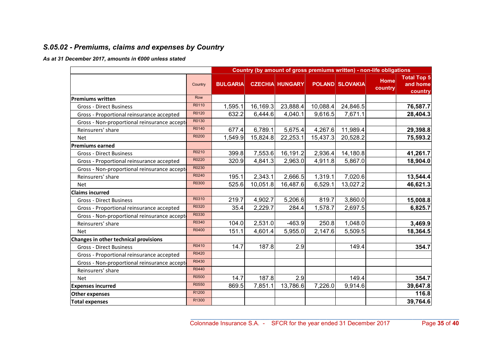### S.05.02 - Premiums, claims and expenses by Country

|                                             |         |                 | Country (by amount of gross premiums written) - non-life obligations |                        |          |                        |                        |                                           |
|---------------------------------------------|---------|-----------------|----------------------------------------------------------------------|------------------------|----------|------------------------|------------------------|-------------------------------------------|
|                                             | Country | <b>BULGARIA</b> |                                                                      | <b>CZECHIA HUNGARY</b> |          | <b>POLAND SLOVAKIA</b> | <b>Home</b><br>country | <b>Total Top 5</b><br>and home<br>country |
| <b>Premiums written</b>                     | Row     |                 |                                                                      |                        |          |                        |                        |                                           |
| <b>Gross - Direct Business</b>              | R0110   | 1,595.1         | 16,169.3                                                             | 23,888.4               | 10,088.4 | 24,846.5               |                        | 76,587.7                                  |
| Gross - Proportional reinsurance accepted   | R0120   | 632.2           | 6,444.6                                                              | 4,040.1                | 9,616.5  | 7,671.1                |                        | 28,404.3                                  |
| Gross - Non-proportional reinsurance accept | R0130   |                 |                                                                      |                        |          |                        |                        |                                           |
| Reinsurers' share                           | R0140   | 677.4           | 6,789.1                                                              | 5,675.4                | 4,267.6  | 11,989.4               |                        | 29,398.8                                  |
| <b>Net</b>                                  | R0200   | 1,549.9         | 15,824.8                                                             | 22,253.1               | 15,437.3 | 20,528.2               |                        | 75,593.2                                  |
| <b>Premiums earned</b>                      |         |                 |                                                                      |                        |          |                        |                        |                                           |
| <b>Gross - Direct Business</b>              | R0210   | 399.8           | 7,553.6                                                              | 16,191.2               | 2,936.4  | 14,180.8               |                        | 41,261.7                                  |
| Gross - Proportional reinsurance accepted   | R0220   | 320.9           | 4,841.3                                                              | 2,963.0                | 4,911.8  | 5,867.0                |                        | 18,904.0                                  |
| Gross - Non-proportional reinsurance accept | R0230   |                 |                                                                      |                        |          |                        |                        |                                           |
| Reinsurers' share                           | R0240   | 195.1           | 2,343.1                                                              | 2,666.5                | 1,319.1  | 7,020.6                |                        | 13,544.4                                  |
| <b>Net</b>                                  | R0300   | 525.6           | 10,051.8                                                             | 16,487.6               | 6,529.1  | 13,027.2               |                        | 46,621.3                                  |
| <b>Claims incurred</b>                      |         |                 |                                                                      |                        |          |                        |                        |                                           |
| <b>Gross - Direct Business</b>              | R0310   | 219.7           | 4,902.7                                                              | 5,206.6                | 819.7    | 3,860.0                |                        | 15,008.8                                  |
| Gross - Proportional reinsurance accepted   | R0320   | 35.4            | 2,229.7                                                              | 284.4                  | 1,578.7  | 2,697.5                |                        | 6,825.7                                   |
| Gross - Non-proportional reinsurance accept | R0330   |                 |                                                                      |                        |          |                        |                        |                                           |
| Reinsurers' share                           | R0340   | 104.0           | 2,531.0                                                              | $-463.9$               | 250.8    | 1,048.0                |                        | 3,469.9                                   |
| <b>Net</b>                                  | R0400   | 151.1           | 4,601.4                                                              | 5,955.0                | 2,147.6  | 5,509.5                |                        | 18,364.5                                  |
| Changes in other technical provisions       |         |                 |                                                                      |                        |          |                        |                        |                                           |
| <b>Gross - Direct Business</b>              | R0410   | 14.7            | 187.8                                                                | 2.9                    |          | 149.4                  |                        | 354.7                                     |
| Gross - Proportional reinsurance accepted   | R0420   |                 |                                                                      |                        |          |                        |                        |                                           |
| Gross - Non-proportional reinsurance accept | R0430   |                 |                                                                      |                        |          |                        |                        |                                           |
| Reinsurers' share                           | R0440   |                 |                                                                      |                        |          |                        |                        |                                           |
| <b>Net</b>                                  | R0500   | 14.7            | 187.8                                                                | 2.9                    |          | 149.4                  |                        | 354.7                                     |
| <b>Expenses incurred</b>                    | R0550   | 869.5           | 7,851.1                                                              | 13,786.6               | 7,226.0  | 9,914.6                |                        | 39,647.8                                  |
| <b>Other expenses</b>                       | R1200   |                 |                                                                      |                        |          |                        |                        | 116.8                                     |
| <b>Total expenses</b>                       | R1300   |                 |                                                                      |                        |          |                        |                        | 39,764.6                                  |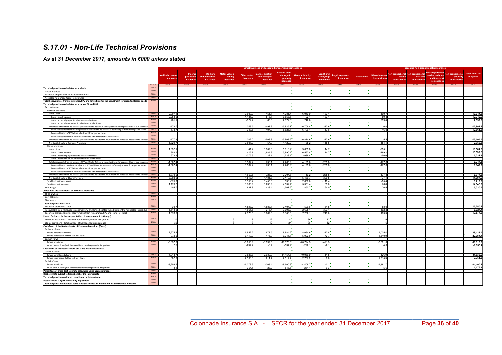### S.17.01 - Non-Life Technical Provisions

|                                                                                                                                                                                            |                       |                                     |                                   |                                     |                                                |                                 |                                                               | Direct business and accepted proportional reinsurance |                                       |                                              |                                    |                   |                                        |                       | accepted non-proportional reinsurance |                                                                                         |                                                   |                                     |
|--------------------------------------------------------------------------------------------------------------------------------------------------------------------------------------------|-----------------------|-------------------------------------|-----------------------------------|-------------------------------------|------------------------------------------------|---------------------------------|---------------------------------------------------------------|-------------------------------------------------------|---------------------------------------|----------------------------------------------|------------------------------------|-------------------|----------------------------------------|-----------------------|---------------------------------------|-----------------------------------------------------------------------------------------|---------------------------------------------------|-------------------------------------|
|                                                                                                                                                                                            |                       | <b>Medical expense</b><br>insurance | Income<br>protection<br>insurance | Workers'<br>npensation<br>insurance | <b>Motor vehicle</b><br>liability<br>insurance | <b>Other motor</b><br>insurance | <b>Marine</b> , aviation<br>and transport<br><i>insurance</i> | Fire and other<br>damage to<br>property               | <b>General liability</b><br>insurance | <b>Credit and</b><br>suretyship<br>insurance | <b>Legal expenses</b><br>insurance | <b>Assistance</b> | <b>Miscellaneous</b><br>financial loss | health<br>reinsurance | casualty<br>reinsurance               | Non-proportional Non-proportional Non-proportional<br>marine, aviation<br>and transport | <b>Non-proportional</b><br>property<br>reinsuranc | <b>Total Non-Life</b><br>obligation |
|                                                                                                                                                                                            | Row/Col               | C0020                               | C0030                             | C0040                               | C0050                                          | C0060                           | C0070                                                         | insurance<br>C0080                                    |                                       | C0100                                        | C0110                              | C0120             | C0130                                  | C0140                 | C0150                                 | reinsurance<br>C0160                                                                    | C0170                                             | C0180                               |
|                                                                                                                                                                                            | <b>D0010</b>          |                                     |                                   |                                     |                                                |                                 |                                                               |                                                       | C0090                                 |                                              |                                    |                   |                                        |                       |                                       |                                                                                         |                                                   |                                     |
| Technical provisions calculated as a whole<br><b>Direct business</b>                                                                                                                       | R0020                 |                                     |                                   |                                     |                                                |                                 |                                                               |                                                       |                                       |                                              |                                    |                   |                                        |                       |                                       |                                                                                         |                                                   |                                     |
| Accepted proportional reinsurance business                                                                                                                                                 | <b>BOO30</b>          |                                     |                                   |                                     |                                                |                                 |                                                               |                                                       |                                       |                                              |                                    |                   |                                        |                       |                                       |                                                                                         |                                                   |                                     |
| Accepted non-proportional reinsurance                                                                                                                                                      |                       |                                     |                                   |                                     |                                                |                                 |                                                               |                                                       |                                       |                                              |                                    |                   |                                        |                       |                                       |                                                                                         |                                                   |                                     |
| Total Recoverables from reinsurance/SPV and Finite Re after the adjustment for expected losses due to                                                                                      | R0050                 |                                     |                                   |                                     |                                                |                                 |                                                               |                                                       |                                       |                                              |                                    |                   |                                        |                       |                                       |                                                                                         |                                                   |                                     |
| Technical provisions calculated as a sum of BE and RM                                                                                                                                      |                       |                                     |                                   |                                     |                                                |                                 |                                                               |                                                       |                                       |                                              |                                    |                   |                                        |                       |                                       |                                                                                         |                                                   |                                     |
| Best estimate                                                                                                                                                                              |                       |                                     |                                   |                                     |                                                |                                 |                                                               |                                                       |                                       |                                              |                                    |                   |                                        |                       |                                       |                                                                                         |                                                   |                                     |
| Premium provisions                                                                                                                                                                         |                       |                                     |                                   |                                     |                                                |                                 |                                                               |                                                       |                                       |                                              |                                    |                   |                                        |                       |                                       |                                                                                         |                                                   |                                     |
| Gross - Total                                                                                                                                                                              | R0060                 | $-2,007.$                           |                                   |                                     |                                                | 3,809.                          | $-451.$                                                       | $-4,781.4$                                            | $-6,949.$                             | $-133.7$                                     |                                    |                   | 169.7                                  |                       |                                       |                                                                                         |                                                   | $-10,344.5$                         |
| Gross - direct business                                                                                                                                                                    | <b>R0070</b><br>R0080 | $-2,288.2$                          |                                   |                                     |                                                | 4,131.                          | $-516.$                                                       | $-6,853.5$                                            | $-7,192.4$                            | $-133.1$                                     |                                    |                   | $-89.3$                                |                       |                                       |                                                                                         |                                                   | $-12,942.0$                         |
| Gross - accepted proportional reinsurance business                                                                                                                                         | R0090                 | 281.                                |                                   |                                     |                                                | $-322.2$                        | 65.                                                           | 2,072.0                                               | 242.6                                 |                                              |                                    |                   | 259.0                                  |                       |                                       |                                                                                         |                                                   | 2,597.5                             |
| Gross - accepted non-proportional reinsurance business<br>Total recoverable from reinsurance/SPV and Finite Re before the adjustment for expected losses due to count                      |                       | $-173.7$                            |                                   |                                     |                                                | 343.5                           | $-497.$                                                       | $-5.825.$                                             | $-6.706.4$                            | $-17.6$                                      |                                    |                   | 16.0                                   |                       |                                       |                                                                                         |                                                   | $-12.861.8$                         |
| Recoverables from reinsurance (except SPV and Finite Reinsurance) before adjustment for expected losses                                                                                    | R0110                 | $-173.7$                            |                                   |                                     |                                                | 343.5                           | $-497.9$                                                      | $-5,825.7$                                            | $-6,706.4$                            | $-17.6$                                      |                                    |                   | 16.0                                   |                       |                                       |                                                                                         |                                                   | $-12,861.8$                         |
| Recoverables from SPV before adjustment for expected losses                                                                                                                                | R0120                 |                                     |                                   |                                     |                                                |                                 |                                                               |                                                       |                                       |                                              |                                    |                   |                                        |                       |                                       |                                                                                         |                                                   |                                     |
| Recoverables from Finite Reinsurance before adjustment for expected losses                                                                                                                 | R0130                 |                                     |                                   |                                     |                                                |                                 |                                                               |                                                       |                                       |                                              |                                    |                   |                                        |                       |                                       |                                                                                         |                                                   |                                     |
| Total recoverable from reinsurance/SPV and Finite Re after the adjustment for expected losses due to counter                                                                               | R0140                 | $-177.3$                            |                                   |                                     |                                                | 302.0                           | $-508.1$                                                      | $-5,903.$                                             | $-6.814.$                             | $-17.6$                                      |                                    |                   | 15.5                                   |                       |                                       |                                                                                         |                                                   | $-13,104.4$                         |
| Net Best Estimate of Premium Provisions                                                                                                                                                    | R0150                 | $-1.829.7$                          |                                   |                                     |                                                | 3.507.                          | 57.                                                           | 1.122.2                                               | $-135.2$                              | $-115.5$                                     |                                    |                   | 154.1                                  |                       |                                       |                                                                                         |                                                   | 2,759.9                             |
| Claims provisions                                                                                                                                                                          |                       |                                     |                                   |                                     |                                                |                                 |                                                               |                                                       |                                       |                                              |                                    |                   |                                        |                       |                                       |                                                                                         |                                                   |                                     |
| Gross - Total                                                                                                                                                                              | R0160                 | 1,632.1                             |                                   |                                     |                                                | 41.4                            | 1,907                                                         | 5,618.2                                               | 9,605.                                | 14.7                                         |                                    |                   | $-255.1$                               |                       |                                       |                                                                                         |                                                   | 18,564.0                            |
| Gross - direct business                                                                                                                                                                    | R0170                 | 958.1                               |                                   |                                     |                                                | 416.                            | 1.884.9                                                       | 3.890.                                                | 6.567.4                               | 14.7                                         |                                    |                   | $-199.2$                               |                       |                                       |                                                                                         |                                                   | 13.532.8                            |
| Gross - accepted proportional reinsurance business                                                                                                                                         | <b>R0180</b>          | 673.9                               |                                   |                                     |                                                | $-375.$                         | 22.                                                           | 1,728.                                                | 3,038.4                               |                                              |                                    |                   | $-56.0$                                |                       |                                       |                                                                                         |                                                   | 5,031.3                             |
| Gross - accepted non-proportional reinsurance business                                                                                                                                     | R0190                 |                                     |                                   |                                     |                                                |                                 |                                                               |                                                       |                                       |                                              |                                    |                   |                                        |                       |                                       |                                                                                         |                                                   |                                     |
| Total recoverable from reinsurance/SPV and Finite Re before the adjustment for expected losses due to count                                                                                | R0200<br>R0210        | $-1.367.4$                          |                                   |                                     |                                                | 1.582.4                         | 736.                                                          | 2,263.9                                               | 4,195.6                               | $-285.8$                                     |                                    |                   | $-177f$                                |                       |                                       |                                                                                         |                                                   | 6.947.3                             |
| Recoverables from reinsurance (except SPV and Finite Reinsurance) before adjustment for expected losses                                                                                    | R0220                 | $-1,367.4$                          |                                   |                                     |                                                | 1,582.4                         | 736.                                                          | 2,263.9                                               | 4,195.6                               | $-285.8$                                     |                                    |                   | $-177.6$                               |                       |                                       |                                                                                         |                                                   | 6,947.3                             |
| Recoverables from SPV before adjustment for expected losses                                                                                                                                | R0230                 |                                     |                                   |                                     |                                                |                                 |                                                               |                                                       |                                       |                                              |                                    |                   |                                        |                       |                                       |                                                                                         |                                                   |                                     |
| Recoverables from Finite Reinsurance before adjustment for expected losses<br>Total recoverable from reinsurance/SPV and Finite Re after the adjustment for expected losses due to counter | R0240                 | $-1,370.9$                          |                                   |                                     |                                                | 1.559.                          | 725.                                                          | 2,207.6                                               | 4,119.                                | $-285.8$                                     |                                    |                   | $-177.8$                               |                       |                                       |                                                                                         |                                                   | 6,777.0                             |
| Net Best Estimate of Claims Provisions                                                                                                                                                     | R0250                 | 3,002.9                             |                                   |                                     |                                                | $-1,518.$                       | 1,181.                                                        | 3,410.6                                               | 5,486.                                | 300.5                                        |                                    |                   | $-77.4$                                |                       |                                       |                                                                                         |                                                   | 11,787.0                            |
| Total Best estimate - gross                                                                                                                                                                | R0260                 | $-375.0$                            |                                   |                                     |                                                | 3.850.                          | 1.455.                                                        | 836.7                                                 | 2.656.0                               | $-118.4$                                     |                                    |                   | $-85.4$                                |                       |                                       |                                                                                         |                                                   | 8.219.5                             |
| Total Best estimate - net                                                                                                                                                                  | R0270                 | 1.173.2                             |                                   |                                     |                                                | 1.988.                          | 1.238.                                                        | 4.532.7                                               | 5.351.4                               | 185.0                                        |                                    |                   | 76.8                                   |                       |                                       |                                                                                         |                                                   | 14,546.9                            |
| Risk margin                                                                                                                                                                                | R0280                 | 405.7                               |                                   |                                     |                                                | 687.                            | 428.                                                          | 1,567.6                                               | 1,850.7                               | 64.0                                         |                                    |                   | 26.5                                   |                       |                                       |                                                                                         |                                                   | 5,030.7                             |
| Amount of the transitional on Technical Provisions                                                                                                                                         |                       |                                     |                                   |                                     |                                                |                                 |                                                               |                                                       |                                       |                                              |                                    |                   |                                        |                       |                                       |                                                                                         |                                                   |                                     |
| TP as a whole                                                                                                                                                                              | R0290                 |                                     |                                   |                                     |                                                |                                 |                                                               |                                                       |                                       |                                              |                                    |                   |                                        |                       |                                       |                                                                                         |                                                   |                                     |
| Best estimate                                                                                                                                                                              | R0300                 |                                     |                                   |                                     |                                                |                                 |                                                               |                                                       |                                       |                                              |                                    |                   |                                        |                       |                                       |                                                                                         |                                                   |                                     |
| Risk margin                                                                                                                                                                                | R0310                 |                                     |                                   |                                     |                                                |                                 |                                                               |                                                       |                                       |                                              |                                    |                   |                                        |                       |                                       |                                                                                         |                                                   |                                     |
| <b>Technical provisions - total</b>                                                                                                                                                        |                       |                                     |                                   |                                     |                                                |                                 |                                                               |                                                       |                                       |                                              |                                    |                   |                                        |                       |                                       |                                                                                         |                                                   |                                     |
| Technical provisions - total                                                                                                                                                               | R0320<br>R0330        | 30.7                                |                                   |                                     |                                                | 4,538.                          | 1,883.                                                        | 2,404.3                                               | 4,506.                                | $-54.5$                                      |                                    |                   | $-58.9$                                |                       |                                       |                                                                                         |                                                   | 13,250.2                            |
| Recoverable from reinsurance contract/SPV and Finite Re after the adjustment for expected losses due                                                                                       |                       | $-1.548.2$                          |                                   |                                     |                                                | 1.861.                          | 216.4                                                         | $-3.696.0$                                            | $-2.695.4$                            | $-303.4$                                     |                                    |                   | $-162.2$                               |                       |                                       |                                                                                         |                                                   | $-6,327.4$                          |
| Technical provisions minus recoverables from reinsurance/SPV and Finite Re-total                                                                                                           |                       | 1,578.9                             |                                   |                                     |                                                | 2.676.8                         | 1,667.                                                        | 6.100.3                                               | 7,202.1                               | 249.0                                        |                                    |                   | 103.3                                  |                       |                                       |                                                                                         |                                                   | 19,577.6                            |
| Line of Business: further segmentation (Homogeneous Risk Groups)                                                                                                                           | R0350                 | 30                                  |                                   |                                     |                                                |                                 |                                                               | 24                                                    |                                       | 1 <sup>1</sup>                               |                                    |                   |                                        |                       |                                       |                                                                                         |                                                   |                                     |
| Premium provisions - Total number of homogeneous risk groups<br>Claims provisions - Total number of homogeneous risk groups                                                                | R0360                 | 30                                  |                                   |                                     |                                                |                                 |                                                               | 24                                                    |                                       | 1 <sup>1</sup>                               |                                    |                   |                                        |                       |                                       |                                                                                         |                                                   |                                     |
| Cash-flows of the Best estimate of Premium Provisions (Gross)                                                                                                                              |                       |                                     |                                   |                                     |                                                |                                 |                                                               |                                                       |                                       |                                              |                                    |                   |                                        |                       |                                       |                                                                                         |                                                   |                                     |
| Cash out-flows                                                                                                                                                                             |                       |                                     |                                   |                                     |                                                |                                 |                                                               |                                                       |                                       |                                              |                                    |                   |                                        |                       |                                       |                                                                                         |                                                   |                                     |
| Future benefits and claims                                                                                                                                                                 |                       | 2,675.4                             |                                   |                                     |                                                | 6.852.                          | 677.                                                          | 8.884.6                                               | 8.094.                                | 217.8                                        |                                    |                   | 1,035.4                                |                       |                                       |                                                                                         |                                                   | 28,437.4                            |
| Future expenses and other cash-out flows                                                                                                                                                   | R0380                 | 972.0                               |                                   |                                     |                                                | 6,110.                          | 475.                                                          | 6,741.7                                               | 5,902.                                | 72.7                                         |                                    |                   | 1,810.9                                |                       |                                       |                                                                                         |                                                   | 22,084.4                            |
| Cash in-flows                                                                                                                                                                              |                       |                                     |                                   |                                     |                                                |                                 |                                                               |                                                       |                                       |                                              |                                    |                   |                                        |                       |                                       |                                                                                         |                                                   |                                     |
| Future premiums                                                                                                                                                                            |                       | $-5.657.0$                          |                                   |                                     |                                                | $-8.855.9$                      | $-1.597.$                                                     | $-19.873.5$                                           | $-20.724.$                            | $-421.5$                                     |                                    |                   | $-2.681.0$                             |                       |                                       |                                                                                         |                                                   | $-59.810.9$                         |
| Other cash-in flows (incl. Recoverable from salvages and subrogations)                                                                                                                     | R0400                 | 2.5                                 |                                   |                                     |                                                | $-297.$                         | $-6.$                                                         | $-534.2$                                              | $-222.1$                              | $-2.1$                                       |                                    |                   | 4.3                                    |                       |                                       |                                                                                         |                                                   | $-1,055.4$                          |
| Cash-flows of the Best estimate of Claims Provisions (Gross)                                                                                                                               |                       |                                     |                                   |                                     |                                                |                                 |                                                               |                                                       |                                       |                                              |                                    |                   |                                        |                       |                                       |                                                                                         |                                                   |                                     |
| Cash out-flows                                                                                                                                                                             |                       |                                     |                                   |                                     |                                                |                                 |                                                               |                                                       |                                       |                                              |                                    |                   |                                        |                       |                                       |                                                                                         |                                                   |                                     |
| Future benefits and claims                                                                                                                                                                 | R0410<br>R0420        | 4,013.7                             |                                   |                                     |                                                | 3,528                           | 2,030                                                         | 11.154.                                               | 10,966.                               | 14.5                                         |                                    |                   | 126.9                                  |                       |                                       |                                                                                         |                                                   | 31,836.2                            |
| Future expenses and other cash-out flows                                                                                                                                                   |                       | 882.9                               |                                   |                                     |                                                | 2.536.                          | 211.4                                                         | 2.517.4                                               | 2.787.2                               | 0.0                                          |                                    |                   | 1.015.3                                |                       |                                       |                                                                                         |                                                   | 9.951.0                             |
| Cash in-flows                                                                                                                                                                              | R0430                 |                                     |                                   |                                     |                                                |                                 |                                                               |                                                       |                                       |                                              |                                    |                   |                                        |                       |                                       |                                                                                         |                                                   |                                     |
| Future premiums<br>Other cash-in flows (incl. Recoverable from salvages and subrogations)                                                                                                  | R0440                 | $-3,256.5$<br>$-8.1$                |                                   |                                     |                                                | $-6,378.$<br>354.               | $-363.4$<br>28.2                                              | $-8,600.$<br>546.                                     | $-4,409.$<br>261.4                    | $-0.1$<br>0.3                                |                                    |                   | $-1,391.$<br>$-5.6$                    |                       |                                       |                                                                                         |                                                   | $-24,400.1$<br>1,176.9              |
| Percentage of gross Best Estimate calculated using approximations                                                                                                                          | R0450                 |                                     |                                   |                                     |                                                |                                 |                                                               |                                                       |                                       |                                              |                                    |                   |                                        |                       |                                       |                                                                                         |                                                   |                                     |
| Best estimate subject to transitional of the interest rate                                                                                                                                 | R0460                 |                                     |                                   |                                     |                                                |                                 |                                                               |                                                       |                                       |                                              |                                    |                   |                                        |                       |                                       |                                                                                         |                                                   |                                     |
| Technical provisions without transitional on interest rate                                                                                                                                 | R0470                 |                                     |                                   |                                     |                                                |                                 |                                                               |                                                       |                                       |                                              |                                    |                   |                                        |                       |                                       |                                                                                         |                                                   |                                     |
| Best estimate subject to volatility adjustment                                                                                                                                             | R0480                 |                                     |                                   |                                     |                                                |                                 |                                                               |                                                       |                                       |                                              |                                    |                   |                                        |                       |                                       |                                                                                         |                                                   |                                     |
| Technical provisions without volatility adjustment and without others transitional measures                                                                                                |                       |                                     |                                   |                                     |                                                |                                 |                                                               |                                                       |                                       |                                              |                                    |                   |                                        |                       |                                       |                                                                                         |                                                   |                                     |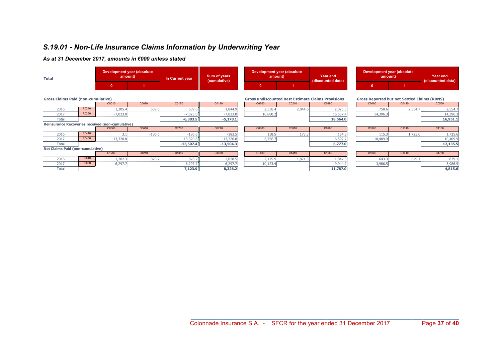### S.19.01 - Non-Life Insurance Claims Information by Underwriting Year

| <b>Total</b>                                     |       | Development year (absolute<br>amount) |          | In Current year | Sum of years<br>(cumulative) | Development year (absolute<br>amount)                                                                            |         | Year end<br>(discounted data) |              | Development year (absolute)<br>amount) |                   |  |
|--------------------------------------------------|-------|---------------------------------------|----------|-----------------|------------------------------|------------------------------------------------------------------------------------------------------------------|---------|-------------------------------|--------------|----------------------------------------|-------------------|--|
|                                                  |       | 0                                     |          |                 |                              | 0                                                                                                                |         |                               | $\mathbf{0}$ |                                        | (discounted data) |  |
| <b>Gross Claims Paid (non-cumulative)</b>        |       |                                       |          |                 |                              | <b>Gross undiscounted Best Estimate Claims Provisions</b><br><b>Gross Reported but not Settled Claims (RBNS)</b> |         |                               |              |                                        |                   |  |
|                                                  |       | C0010                                 | C0020    | C0170           | C0180                        | C0200                                                                                                            | C0210   | C0360                         | C0400        | C0410                                  | C0560             |  |
| 2016                                             | R0240 | 1,205.4                               | 639.6    | 639.6           | 1,844.9                      | 2,338.4                                                                                                          | 2,044.6 | 2,026.6                       | 758.6        | 2,554.7                                | 2,554.7           |  |
| 2017                                             | R0250 | $-7,023.0$                            |          | $-7,023.0$      | $-7,023.0$                   | 16,880.2                                                                                                         |         | 16,537.4                      | 14,396.3     |                                        | 14,396.3          |  |
| Total                                            |       |                                       |          | $-6,383.5$      | $-5,178.1$                   |                                                                                                                  |         | 18,564.0                      |              |                                        | 16,951.1          |  |
| Reinsurance Recoveries received (non-cumulative) |       |                                       |          |                 |                              |                                                                                                                  |         |                               |              |                                        |                   |  |
|                                                  |       | C0600                                 | C0610    | C0760           | C0770                        | C0800                                                                                                            | C0810   | C0960                         | C1000        | C1010                                  | C1160             |  |
| 2016                                             | R0440 | 3.1                                   | $-186.6$ | $-186.6$        | $-183.5$                     | 158.5                                                                                                            | 173.3   | 184.3                         | 115.3        | 1,725.6                                | 1,725.6           |  |
| 2017                                             | R0450 | $-13,320.8$                           |          | $-13,320.8$     | $-13,320.8$                  | 6,756.7                                                                                                          |         | 6,592.7                       | 10,409.9     |                                        | 10,409.9          |  |
| Total                                            |       |                                       |          | $-13,507.4$     | $-13,504.3$                  |                                                                                                                  |         | 6,777.0                       |              |                                        | 12,135.5          |  |
| <b>Net Claims Paid (non-cumulative)</b>          |       |                                       |          |                 |                              |                                                                                                                  |         |                               |              |                                        |                   |  |
|                                                  |       | C1200                                 | C1210    | C1360           | C1370                        | C1400                                                                                                            | C1410   | C1560                         | C1600        | C1610                                  | C1760             |  |
| 2016                                             | R0640 | 1,202.3                               | 826.2    | 826.2           | 2,028.5                      | 2,179.9                                                                                                          | 1,871.3 | 1,842.3                       | 643.3        | 829.1                                  | 829.1             |  |
| 2017                                             | R0650 | 6,297.7                               |          | 6,297.7         | 6,297.7                      | 10,123.4                                                                                                         |         | 9,944.7                       | 3,986.5      |                                        | 3,986.5           |  |
| Total                                            |       |                                       |          | 7,123.9         | 8,326.2                      |                                                                                                                  |         | 11,787.0                      |              |                                        | 4,815.6           |  |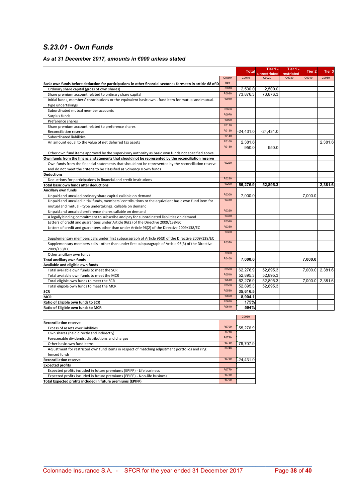### S.23.01 - Own Funds

### As at 31 December 2017, amounts in €000 unless stated

|                                                                                                              |        | <b>Total</b>       | Tier 1 -              | Tier 1 -            | Tier <sub>2</sub> | Tier <sub>3</sub> |
|--------------------------------------------------------------------------------------------------------------|--------|--------------------|-----------------------|---------------------|-------------------|-------------------|
|                                                                                                              | Column | C0010              | unrestricted<br>C0020 | restricted<br>C0030 | C0040             | C0050             |
|                                                                                                              | Row    |                    |                       |                     |                   |                   |
| Basic own funds before deduction for participations in other financial sector as foreseen in article 68 of D | R0010  |                    |                       |                     |                   |                   |
| Ordinary share capital (gross of own shares)                                                                 | R0030  | 2,500.0            | 2,500.0               |                     |                   |                   |
| Share premium account related to ordinary share capital                                                      | R0040  | 73,876.3           | 73,876.3              |                     |                   |                   |
| Initial funds, members' contributions or the equivalent basic own - fund item for mutual and mutual-         |        |                    |                       |                     |                   |                   |
| type undertakings                                                                                            |        |                    |                       |                     |                   |                   |
| Subordinated mutual member accounts                                                                          | R0050  |                    |                       |                     |                   |                   |
| Surplus funds                                                                                                | R0070  |                    |                       |                     |                   |                   |
| Preference shares                                                                                            | R0090  |                    |                       |                     |                   |                   |
| Share premium account related to preference shares                                                           | R0110  |                    |                       |                     |                   |                   |
| Reconciliation reserve                                                                                       | R0130  | $-24.431.0$        | $-24.431.0$           |                     |                   |                   |
| Subordinated liabilities                                                                                     | R0140  |                    |                       |                     |                   |                   |
| An amount equal to the value of net deferred tax assets                                                      | R0160  | 2,381.6            |                       |                     |                   | 2,381.6           |
|                                                                                                              | R0180  | 950.0              | 950.0                 |                     |                   |                   |
| Other own fund items approved by the supervisory authority as basic own funds not specified above            |        |                    |                       |                     |                   |                   |
| Own funds from the financial statements that should not be represented by the reconciliation reserve         |        |                    |                       |                     |                   |                   |
| Own funds from the financial statements that should not be represented by the reconciliation reserve         | R0220  |                    |                       |                     |                   |                   |
| and do not meet the criteria to be classified as Solvency II own funds                                       |        |                    |                       |                     |                   |                   |
| <b>Deductions</b>                                                                                            |        |                    |                       |                     |                   |                   |
| Deductions for participations in financial and credit institutions                                           | R0230  |                    |                       |                     |                   |                   |
| Total basic own funds after deductions                                                                       | R0290  | 55,276.9           | 52,895.3              |                     |                   | 2,381.6           |
| <b>Ancillary own funds</b>                                                                                   |        |                    |                       |                     |                   |                   |
| Unpaid and uncalled ordinary share capital callable on demand                                                | R0300  | 7.000.0            |                       |                     | 7.000.0           |                   |
| Unpaid and uncalled initial funds, members' contributions or the equivalent basic own fund item for          | R0310  |                    |                       |                     |                   |                   |
| mutual and mutual - type undertakings, callable on demand                                                    |        |                    |                       |                     |                   |                   |
| Unpaid and uncalled preference shares callable on demand                                                     | R0320  |                    |                       |                     |                   |                   |
| A legally binding commitment to subscribe and pay for subordinated liabilities on demand                     | R0330  |                    |                       |                     |                   |                   |
| Letters of credit and guarantees under Article 96(2) of the Directive 2009/138/EC                            | R0340  |                    |                       |                     |                   |                   |
| Letters of credit and guarantees other than under Article 96(2) of the Directive 2009/138/EC                 | R0350  |                    |                       |                     |                   |                   |
|                                                                                                              | R0360  |                    |                       |                     |                   |                   |
|                                                                                                              |        |                    |                       |                     |                   |                   |
| Supplementary members calls under first subparagraph of Article 96(3) of the Directive 2009/138/EC           | R0370  |                    |                       |                     |                   |                   |
| Supplementary members calls - other than under first subparagraph of Article 96(3) of the Directive          |        |                    |                       |                     |                   |                   |
| 2009/138/EC                                                                                                  | R0390  |                    |                       |                     |                   |                   |
| Other ancillary own funds                                                                                    | R0400  |                    |                       |                     |                   |                   |
| <b>Total ancillary own funds</b>                                                                             |        | 7.000.0            |                       |                     | 7,000.0           |                   |
| Available and eligible own funds                                                                             | R0500  |                    |                       |                     |                   |                   |
| Total available own funds to meet the SCR                                                                    | R0510  | 62,276.9           | 52,895.3              |                     |                   | 7,000.0 2,381.6   |
| Total available own funds to meet the MCR                                                                    |        | 52,895.3           | 52.895.3              |                     |                   |                   |
| Total eligible own funds to meet the SCR                                                                     | R0540  | 62,276.9           | 52,895.3              |                     |                   | 7,000.0 2,381.6   |
| Total eligible own funds to meet the MCR                                                                     | R0550  | 52.895.3           | 52.895.3              |                     |                   |                   |
| <b>SCR</b>                                                                                                   | R0580  | 35,616.5           |                       |                     |                   |                   |
| <b>MCR</b>                                                                                                   | R0600  | 8,904.1            |                       |                     |                   |                   |
| Ratio of Eligible own funds to SCR                                                                           | R0620  | 175%               |                       |                     |                   |                   |
| Ratio of Eligible own funds to MCR                                                                           | R0640  | 594%               |                       |                     |                   |                   |
|                                                                                                              |        | C <sub>0</sub> 080 |                       |                     |                   |                   |

| <b>Reconciliation reserve</b>                                                                  |       |             |  |  |  |  |  |  |
|------------------------------------------------------------------------------------------------|-------|-------------|--|--|--|--|--|--|
| Excess of assets over liabilities                                                              | R0700 | 55.276.9    |  |  |  |  |  |  |
| Own shares (held directly and indirectly)                                                      | R0710 |             |  |  |  |  |  |  |
| Foreseeable dividends, distributions and charges                                               | R0720 |             |  |  |  |  |  |  |
| Other basic own fund items                                                                     | R0730 | 79,707.9    |  |  |  |  |  |  |
| Adjustment for restricted own fund items in respect of matching adjustment portfolios and ring | R0740 |             |  |  |  |  |  |  |
| fenced funds                                                                                   |       |             |  |  |  |  |  |  |
| <b>Reconciliation reserve</b>                                                                  | R0760 | $-24.431.0$ |  |  |  |  |  |  |
| <b>Expected profits</b>                                                                        |       |             |  |  |  |  |  |  |
| Expected profits included in future premiums (EPIFP) - Life business                           | R0770 |             |  |  |  |  |  |  |
| Expected profits included in future premiums (EPIFP) - Non-life business                       | R0780 |             |  |  |  |  |  |  |
| Total Expected profits included in future premiums (EPIFP)                                     | R0790 |             |  |  |  |  |  |  |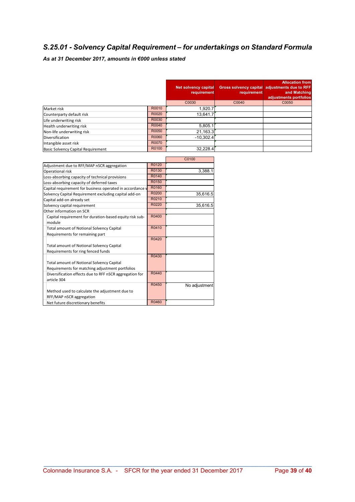### S.25.01 - Solvency Capital Requirement – for undertakings on Standard Formula

|                                    |       | Net solvency capital<br>requirement | requirement | <b>Allocation from</b><br>Gross solvency capital adjustments due to RFF<br>and Matching<br>adjustments portfolios |
|------------------------------------|-------|-------------------------------------|-------------|-------------------------------------------------------------------------------------------------------------------|
|                                    |       | C0030                               | C0040       | C0050                                                                                                             |
| Market risk                        | R0010 | 1,920.7                             |             |                                                                                                                   |
| Counterparty default risk          | R0020 | 13,641.7                            |             |                                                                                                                   |
| Life underwriting risk             | R0030 |                                     |             |                                                                                                                   |
| Health underwriting risk           | R0040 | 5,805.1                             |             |                                                                                                                   |
| Non-life underwriting risk         | R0050 | 21,163.3                            |             |                                                                                                                   |
| <b>Diversification</b>             | R0060 | $-10,302.4$                         |             |                                                                                                                   |
| Intangible asset risk              | R0070 |                                     |             |                                                                                                                   |
| Basic Solvency Capital Requirement | R0100 | 32.228.4                            |             |                                                                                                                   |

|                                                                                                     |       | C0100         |
|-----------------------------------------------------------------------------------------------------|-------|---------------|
| Adjustment due to RFF/MAP nSCR aggregation                                                          | R0120 |               |
| Operational risk                                                                                    | R0130 | 3,388.1       |
| Loss-absorbing capacity of technical provisions                                                     | R0140 |               |
| Loss-absorbing capacity of deferred taxes                                                           | R0150 |               |
| Capital requirement for business operated in accordance v                                           | R0160 |               |
| Solvency Capital Requirement excluding capital add-on                                               | R0200 | 35,616.5      |
| Capital add-on already set                                                                          | R0210 |               |
| Solvency capital requirement                                                                        | R0220 | 35,616.5      |
| Other information on SCR                                                                            |       |               |
| Capital requirement for duration-based equity risk sub-<br>module                                   | R0400 |               |
| <b>Total amount of Notional Solvency Capital</b><br>Requirements for remaining part                 | R0410 |               |
| <b>Total amount of Notional Solvency Capital</b><br>Requirements for ring fenced funds              | R0420 |               |
| <b>Total amount of Notional Solvency Capital</b><br>Requirements for matching adjustment portfolios | R0430 |               |
| Diversification effects due to RFF nSCR aggregation for<br>article 304                              | R0440 |               |
|                                                                                                     | R0450 | No adjustment |
| Method used to calculate the adjustment due to                                                      |       |               |
| RFF/MAP nSCR aggregation                                                                            |       |               |
| Net future discretionary benefits                                                                   | R0460 |               |